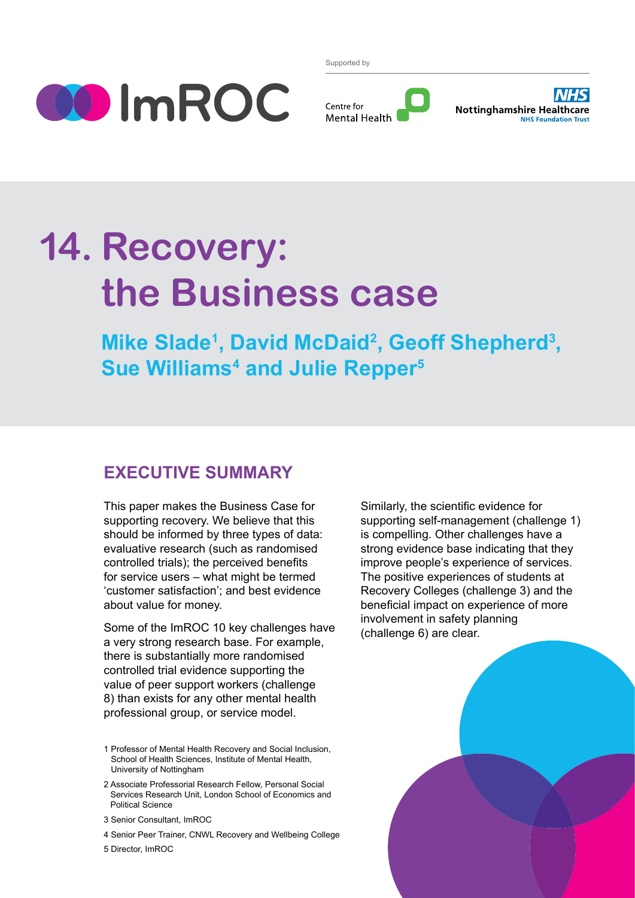

Supported by





# **14. Recovery: the Business case**

**Mike Slade<sup>1</sup>, David McDaid<sup>2</sup>, Geoff Shepherd<sup>3</sup>, Sue Williams4 and Julie Repper5**

## **Executive summary**

This paper makes the Business Case for supporting recovery. We believe that this should be informed by three types of data: evaluative research (such as randomised controlled trials); the perceived benefits for service users – what might be termed 'customer satisfaction'; and best evidence about value for money.

Some of the ImROC 10 key challenges have a very strong research base. For example, there is substantially more randomised controlled trial evidence supporting the value of peer support workers (challenge 8) than exists for any other mental health professional group, or service model.

- 1 Professor of Mental Health Recovery and Social Inclusion, School of Health Sciences, Institute of Mental Health, University of Nottingham
- 2 Associate Professorial Research Fellow, Personal Social Services Research Unit, London School of Economics and Political Science
- 3 Senior Consultant, ImROC
- 4 Senior Peer Trainer, CNWL Recovery and Wellbeing College

5 Director, ImROC

Similarly, the scientific evidence for supporting self-management (challenge 1) is compelling. Other challenges have a strong evidence base indicating that they improve people's experience of services. The positive experiences of students at Recovery Colleges (challenge 3) and the beneficial impact on experience of more involvement in safety planning (challenge 6) are clear.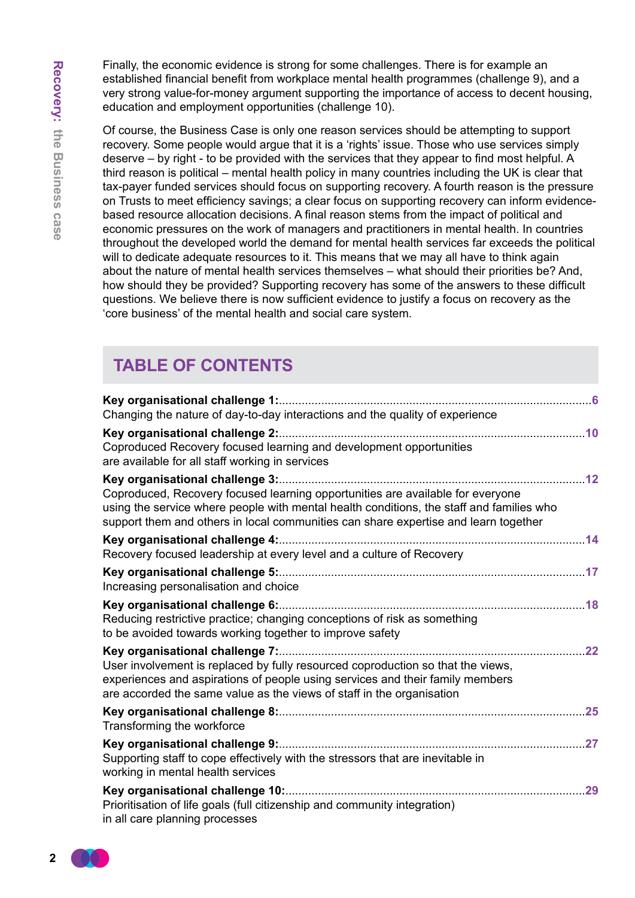Finally, the economic evidence is strong for some challenges. There is for example an established financial benefit from workplace mental health programmes (challenge 9), and a very strong value-for-money argument supporting the importance of access to decent housing, education and employment opportunities (challenge 10).

Of course, the Business Case is only one reason services should be attempting to support recovery. Some people would argue that it is a 'rights' issue. Those who use services simply deserve – by right - to be provided with the services that they appear to find most helpful. A third reason is political – mental health policy in many countries including the UK is clear that tax-payer funded services should focus on supporting recovery. A fourth reason is the pressure on Trusts to meet efficiency savings; a clear focus on supporting recovery can inform evidencebased resource allocation decisions. A final reason stems from the impact of political and economic pressures on the work of managers and practitioners in mental health. In countries throughout the developed world the demand for mental health services far exceeds the political will to dedicate adequate resources to it. This means that we may all have to think again about the nature of mental health services themselves – what should their priorities be? And, how should they be provided? Supporting recovery has some of the answers to these difficult questions. We believe there is now sufficient evidence to justify a focus on recovery as the 'core business' of the mental health and social care system.

# **Table of contents**

| Changing the nature of day-to-day interactions and the quality of experience                                                                                                                                                                                      |    |
|-------------------------------------------------------------------------------------------------------------------------------------------------------------------------------------------------------------------------------------------------------------------|----|
| Coproduced Recovery focused learning and development opportunities<br>are available for all staff working in services                                                                                                                                             |    |
| Coproduced, Recovery focused learning opportunities are available for everyone<br>using the service where people with mental health conditions, the staff and families who<br>support them and others in local communities can share expertise and learn together |    |
| Recovery focused leadership at every level and a culture of Recovery                                                                                                                                                                                              |    |
| Increasing personalisation and choice                                                                                                                                                                                                                             |    |
| Reducing restrictive practice; changing conceptions of risk as something<br>to be avoided towards working together to improve safety                                                                                                                              |    |
| User involvement is replaced by fully resourced coproduction so that the views,<br>experiences and aspirations of people using services and their family members<br>are accorded the same value as the views of staff in the organisation                         | 22 |
| Transforming the workforce                                                                                                                                                                                                                                        |    |
| Supporting staff to cope effectively with the stressors that are inevitable in<br>working in mental health services                                                                                                                                               |    |
| Prioritisation of life goals (full citizenship and community integration)<br>in all care planning processes                                                                                                                                                       |    |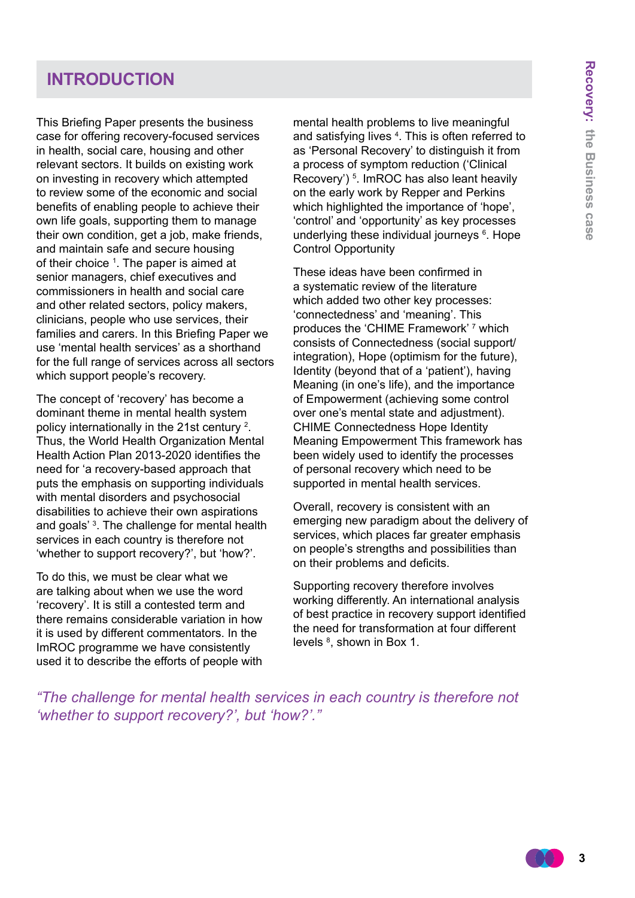# **Introduction**

This Briefing Paper presents the business case for offering recovery-focused services in health, social care, housing and other relevant sectors. It builds on existing work on investing in recovery which attempted to review some of the economic and social benefits of enabling people to achieve their own life goals, supporting them to manage their own condition, get a job, make friends, and maintain safe and secure housing of their choice <sup>1</sup>. The paper is aimed at senior managers, chief executives and commissioners in health and social care and other related sectors, policy makers, clinicians, people who use services, their families and carers. In this Briefing Paper we use 'mental health services' as a shorthand for the full range of services across all sectors which support people's recovery.

The concept of 'recovery' has become a dominant theme in mental health system policy internationally in the 21st century <sup>2</sup> . Thus, the World Health Organization Mental Health Action Plan 2013-2020 identifies the need for 'a recovery-based approach that puts the emphasis on supporting individuals with mental disorders and psychosocial disabilities to achieve their own aspirations and goals' 3 . The challenge for mental health services in each country is therefore not 'whether to support recovery?', but 'how?'.

To do this, we must be clear what we are talking about when we use the word 'recovery'. It is still a contested term and there remains considerable variation in how it is used by different commentators. In the ImROC programme we have consistently used it to describe the efforts of people with

mental health problems to live meaningful and satisfying lives <sup>4</sup>. This is often referred to as 'Personal Recovery' to distinguish it from a process of symptom reduction ('Clinical Recovery')<sup>5</sup>. ImROC has also leant heavily on the early work by Repper and Perkins which highlighted the importance of 'hope', 'control' and 'opportunity' as key processes underlying these individual journeys <sup>6</sup>. Hope Control Opportunity

These ideas have been confirmed in a systematic review of the literature which added two other key processes: 'connectedness' and 'meaning'. This produces the 'CHIME Framework' <sup>7</sup> which consists of Connectedness (social support/ integration), Hope (optimism for the future), Identity (beyond that of a 'patient'), having Meaning (in one's life), and the importance of Empowerment (achieving some control over one's mental state and adjustment). CHIME Connectedness Hope Identity Meaning Empowerment This framework has been widely used to identify the processes of personal recovery which need to be supported in mental health services.

Overall, recovery is consistent with an emerging new paradigm about the delivery of services, which places far greater emphasis on people's strengths and possibilities than on their problems and deficits.

Supporting recovery therefore involves working differently. An international analysis of best practice in recovery support identified the need for transformation at four different levels  $<sup>8</sup>$ , shown in Box 1.</sup>

*"The challenge for mental health services in each country is therefore not 'whether to support recovery?', but 'how?'."*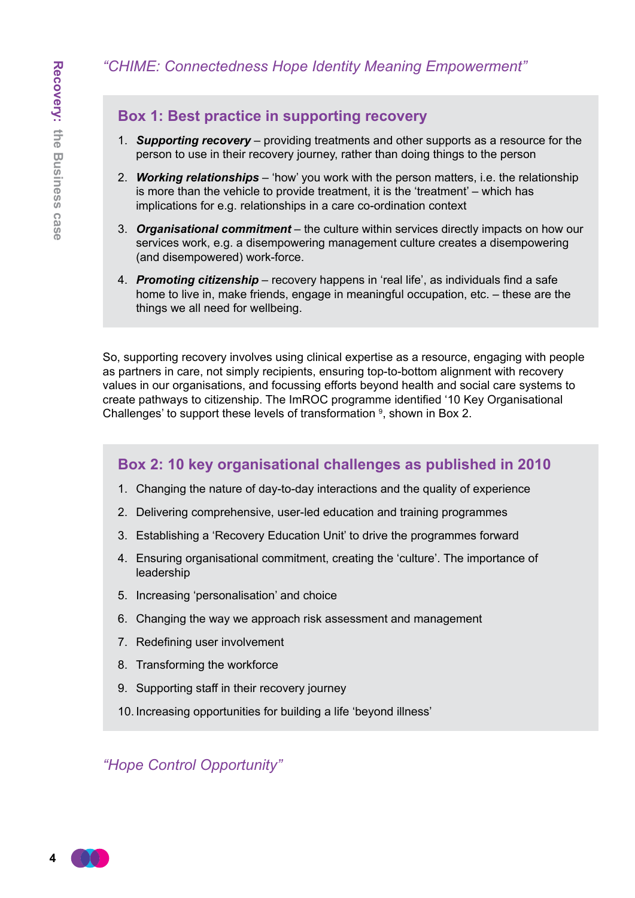### *"CHIME: Connectedness Hope Identity Meaning Empowerment"*

### **Box 1: Best practice in supporting recovery**

- 1. *Supporting recovery* providing treatments and other supports as a resource for the person to use in their recovery journey, rather than doing things to the person
- 2. *Working relationships* 'how' you work with the person matters, i.e. the relationship is more than the vehicle to provide treatment, it is the 'treatment' – which has implications for e.g. relationships in a care co-ordination context
- 3. *Organisational commitment* the culture within services directly impacts on how our services work, e.g. a disempowering management culture creates a disempowering (and disempowered) work-force.
- 4. *Promoting citizenship* recovery happens in 'real life', as individuals find a safe home to live in, make friends, engage in meaningful occupation, etc. – these are the things we all need for wellbeing.

So, supporting recovery involves using clinical expertise as a resource, engaging with people as partners in care, not simply recipients, ensuring top-to-bottom alignment with recovery values in our organisations, and focussing efforts beyond health and social care systems to create pathways to citizenship. The ImROC programme identified '10 Key Organisational Challenges' to support these levels of transformation  $9$ , shown in Box 2.

### **Box 2: 10 key organisational challenges as published in 2010**

- 1. Changing the nature of day-to-day interactions and the quality of experience
- 2. Delivering comprehensive, user-led education and training programmes
- 3. Establishing a 'Recovery Education Unit' to drive the programmes forward
- 4. Ensuring organisational commitment, creating the 'culture'. The importance of leadership
- 5. Increasing 'personalisation' and choice
- 6. Changing the way we approach risk assessment and management
- 7. Redefining user involvement
- 8. Transforming the workforce
- 9. Supporting staff in their recovery journey
- 10. Increasing opportunities for building a life 'beyond illness'

*"Hope Control Opportunity"*

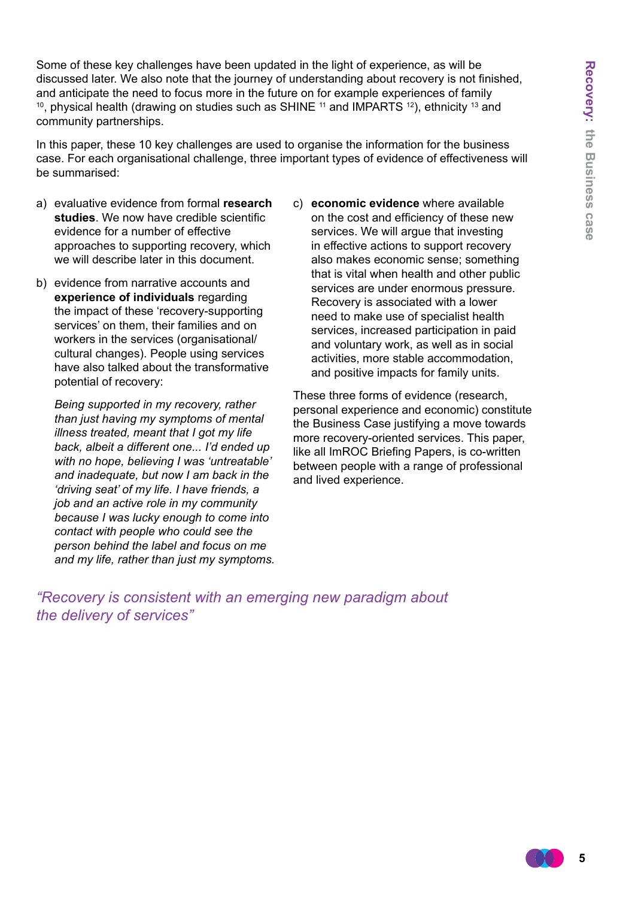Some of these key challenges have been updated in the light of experience, as will be discussed later. We also note that the journey of understanding about recovery is not finished, and anticipate the need to focus more in the future on for example experiences of family <sup>10</sup>, physical health (drawing on studies such as SHINE  $11$  and IMPARTS  $12$ ), ethnicity  $13$  and community partnerships.

In this paper, these 10 key challenges are used to organise the information for the business case. For each organisational challenge, three important types of evidence of effectiveness will be summarised:

- a) evaluative evidence from formal **research studies**. We now have credible scientific evidence for a number of effective approaches to supporting recovery, which we will describe later in this document.
- b) evidence from narrative accounts and **experience of individuals** regarding the impact of these 'recovery-supporting services' on them, their families and on workers in the services (organisational/ cultural changes). People using services have also talked about the transformative potential of recovery:

 *Being supported in my recovery, rather than just having my symptoms of mental illness treated, meant that I got my life back, albeit a different one... I'd ended up with no hope, believing I was 'untreatable' and inadequate, but now I am back in the 'driving seat' of my life. I have friends, a job and an active role in my community because I was lucky enough to come into contact with people who could see the person behind the label and focus on me and my life, rather than just my symptoms.* c) **economic evidence** where available on the cost and efficiency of these new services. We will argue that investing in effective actions to support recovery also makes economic sense; something that is vital when health and other public services are under enormous pressure. Recovery is associated with a lower need to make use of specialist health services, increased participation in paid and voluntary work, as well as in social activities, more stable accommodation, and positive impacts for family units.

These three forms of evidence (research, personal experience and economic) constitute the Business Case justifying a move towards more recovery-oriented services. This paper, like all ImROC Briefing Papers, is co-written between people with a range of professional and lived experience.

*"Recovery is consistent with an emerging new paradigm about the delivery of services"*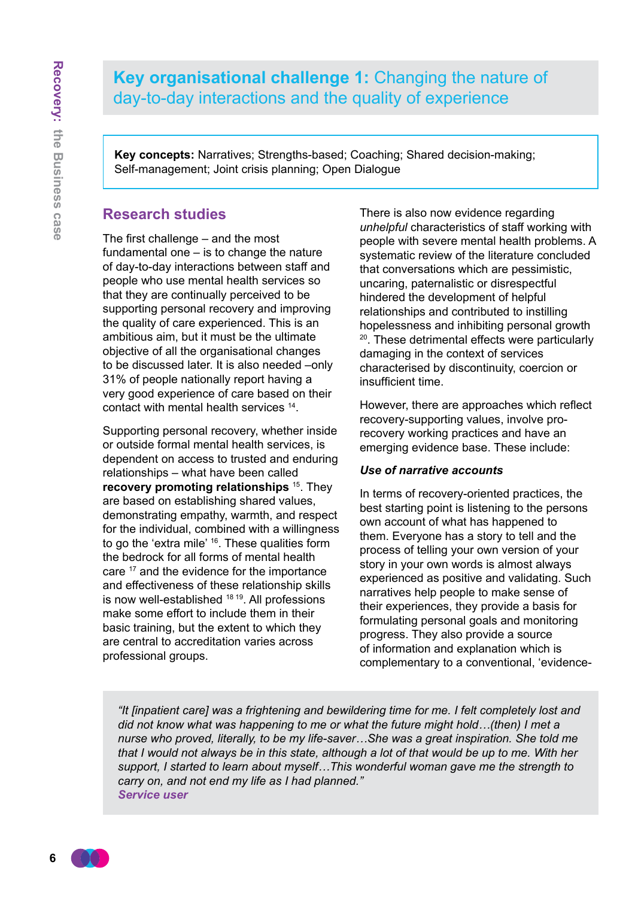# **Key organisational challenge 1:** Changing the nature of day-to-day interactions and the quality of experience

**Key concepts:** Narratives; Strengths-based; Coaching; Shared decision-making; Self-management; Joint crisis planning; Open Dialogue

### **Research studies**

The first challenge – and the most fundamental one – is to change the nature of day-to-day interactions between staff and people who use mental health services so that they are continually perceived to be supporting personal recovery and improving the quality of care experienced. This is an ambitious aim, but it must be the ultimate objective of all the organisational changes to be discussed later. It is also needed –only 31% of people nationally report having a very good experience of care based on their contact with mental health services 14.

Supporting personal recovery, whether inside or outside formal mental health services, is dependent on access to trusted and enduring relationships – what have been called **recovery promoting relationships** <sup>15</sup>. They are based on establishing shared values, demonstrating empathy, warmth, and respect for the individual, combined with a willingness to go the 'extra mile' 16. These qualities form the bedrock for all forms of mental health care <sup>17</sup> and the evidence for the importance and effectiveness of these relationship skills is now well-established 18 19. All professions make some effort to include them in their basic training, but the extent to which they are central to accreditation varies across professional groups.

There is also now evidence regarding *unhelpful* characteristics of staff working with people with severe mental health problems. A systematic review of the literature concluded that conversations which are pessimistic, uncaring, paternalistic or disrespectful hindered the development of helpful relationships and contributed to instilling hopelessness and inhibiting personal growth 20. These detrimental effects were particularly damaging in the context of services characterised by discontinuity, coercion or insufficient time.

However, there are approaches which reflect recovery-supporting values, involve prorecovery working practices and have an emerging evidence base. These include:

#### *Use of narrative accounts*

In terms of recovery-oriented practices, the best starting point is listening to the persons own account of what has happened to them. Everyone has a story to tell and the process of telling your own version of your story in your own words is almost always experienced as positive and validating. Such narratives help people to make sense of their experiences, they provide a basis for formulating personal goals and monitoring progress. They also provide a source of information and explanation which is complementary to a conventional, 'evidence-

*"It [inpatient care] was a frightening and bewildering time for me. I felt completely lost and did not know what was happening to me or what the future might hold…(then) I met a nurse who proved, literally, to be my life-saver…She was a great inspiration. She told me that I would not always be in this state, although a lot of that would be up to me. With her support, I started to learn about myself…This wonderful woman gave me the strength to carry on, and not end my life as I had planned." Service user*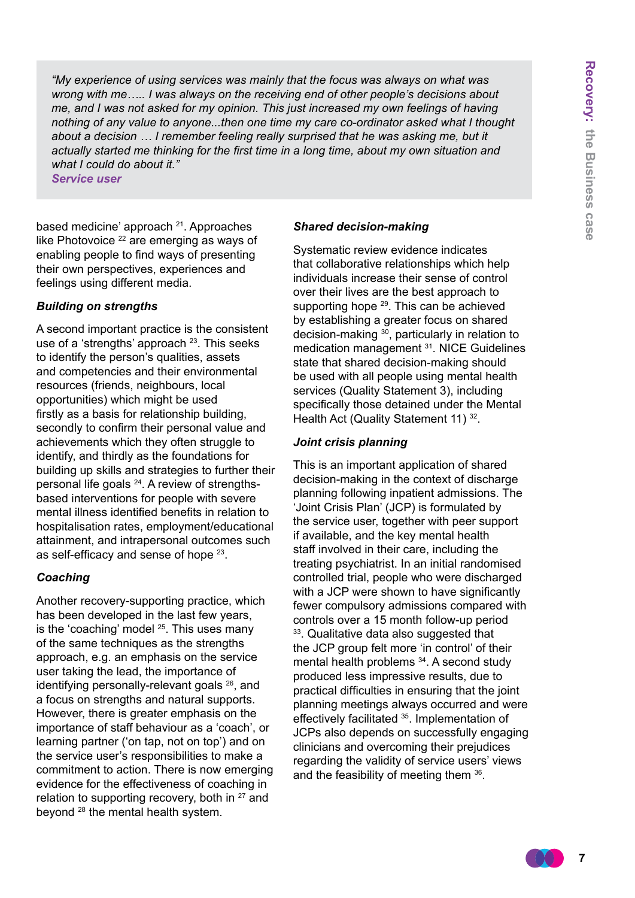*"My experience of using services was mainly that the focus was always on what was wrong with me….. I was always on the receiving end of other people's decisions about me, and I was not asked for my opinion. This just increased my own feelings of having nothing of any value to anyone...then one time my care co-ordinator asked what I thought*  about a decision ... I remember feeling really surprised that he was asking me, but it *actually started me thinking for the first time in a long time, about my own situation and what I could do about it."*

*Service user*

based medicine' approach 21. Approaches like Photovoice <sup>22</sup> are emerging as ways of enabling people to find ways of presenting their own perspectives, experiences and feelings using different media.

#### *Building on strengths*

A second important practice is the consistent use of a 'strengths' approach <sup>23</sup>. This seeks to identify the person's qualities, assets and competencies and their environmental resources (friends, neighbours, local opportunities) which might be used firstly as a basis for relationship building, secondly to confirm their personal value and achievements which they often struggle to identify, and thirdly as the foundations for building up skills and strategies to further their personal life goals 24. A review of strengthsbased interventions for people with severe mental illness identified benefits in relation to hospitalisation rates, employment/educational attainment, and intrapersonal outcomes such as self-efficacy and sense of hope 23.

#### *Coaching*

Another recovery-supporting practice, which has been developed in the last few years, is the 'coaching' model  $25$ . This uses many of the same techniques as the strengths approach, e.g. an emphasis on the service user taking the lead, the importance of identifying personally-relevant goals 26, and a focus on strengths and natural supports. However, there is greater emphasis on the importance of staff behaviour as a 'coach', or learning partner ('on tap, not on top') and on the service user's responsibilities to make a commitment to action. There is now emerging evidence for the effectiveness of coaching in relation to supporting recovery, both in  $27$  and beyond 28 the mental health system.

#### *Shared decision-making*

Systematic review evidence indicates that collaborative relationships which help individuals increase their sense of control over their lives are the best approach to supporting hope <sup>29</sup>. This can be achieved by establishing a greater focus on shared decision-making <sup>30</sup>, particularly in relation to medication management <sup>31</sup>. NICE Guidelines state that shared decision-making should be used with all people using mental health services (Quality Statement 3), including specifically those detained under the Mental Health Act (Quality Statement 11) 32.

#### *Joint crisis planning*

This is an important application of shared decision-making in the context of discharge planning following inpatient admissions. The 'Joint Crisis Plan' (JCP) is formulated by the service user, together with peer support if available, and the key mental health staff involved in their care, including the treating psychiatrist. In an initial randomised controlled trial, people who were discharged with a JCP were shown to have significantly fewer compulsory admissions compared with controls over a 15 month follow-up period <sup>33</sup>. Qualitative data also suggested that the JCP group felt more 'in control' of their mental health problems <sup>34</sup>. A second study produced less impressive results, due to practical difficulties in ensuring that the joint planning meetings always occurred and were effectively facilitated 35. Implementation of JCPs also depends on successfully engaging clinicians and overcoming their prejudices regarding the validity of service users' views and the feasibility of meeting them 36.

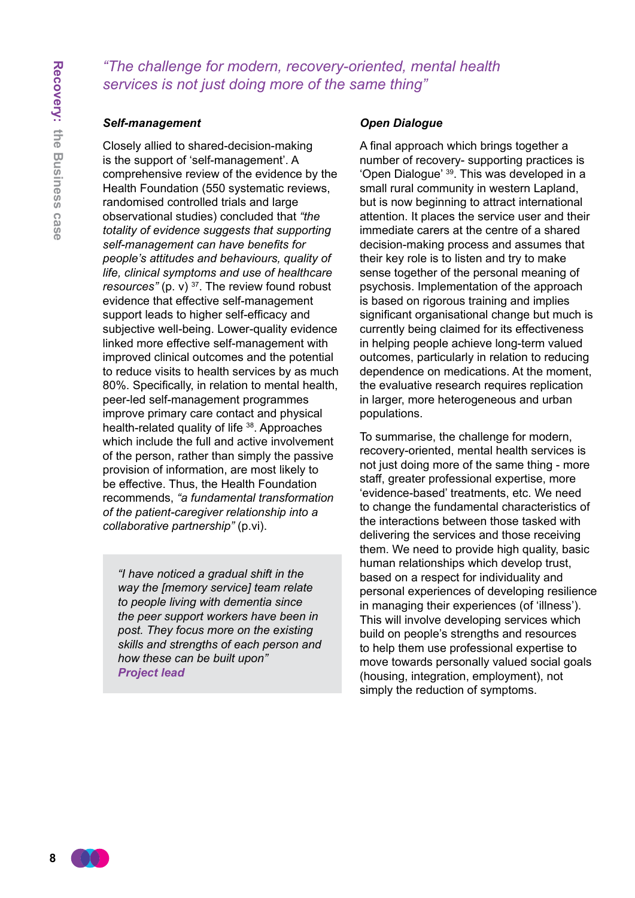### *"The challenge for modern, recovery-oriented, mental health services is not just doing more of the same thing"*

#### *Self-management*

Closely allied to shared-decision-making is the support of 'self-management'. A comprehensive review of the evidence by the Health Foundation (550 systematic reviews, randomised controlled trials and large observational studies) concluded that *"the totality of evidence suggests that supporting self-management can have benefits for people's attitudes and behaviours, quality of life, clinical symptoms and use of healthcare resources"* (p. v) 37. The review found robust evidence that effective self-management support leads to higher self-efficacy and subjective well-being. Lower-quality evidence linked more effective self-management with improved clinical outcomes and the potential to reduce visits to health services by as much 80%. Specifically, in relation to mental health, peer-led self-management programmes improve primary care contact and physical health-related quality of life <sup>38</sup>. Approaches which include the full and active involvement of the person, rather than simply the passive provision of information, are most likely to be effective. Thus, the Health Foundation recommends, *"a fundamental transformation of the patient-caregiver relationship into a collaborative partnership"* (p.vi).

*"I have noticed a gradual shift in the way the [memory service] team relate to people living with dementia since the peer support workers have been in post. They focus more on the existing skills and strengths of each person and how these can be built upon" Project lead* 

#### *Open Dialogue*

A final approach which brings together a number of recovery- supporting practices is 'Open Dialogue' 39. This was developed in a small rural community in western Lapland, but is now beginning to attract international attention. It places the service user and their immediate carers at the centre of a shared decision-making process and assumes that their key role is to listen and try to make sense together of the personal meaning of psychosis. Implementation of the approach is based on rigorous training and implies significant organisational change but much is currently being claimed for its effectiveness in helping people achieve long-term valued outcomes, particularly in relation to reducing dependence on medications. At the moment, the evaluative research requires replication in larger, more heterogeneous and urban populations.

To summarise, the challenge for modern, recovery-oriented, mental health services is not just doing more of the same thing - more staff, greater professional expertise, more 'evidence-based' treatments, etc. We need to change the fundamental characteristics of the interactions between those tasked with delivering the services and those receiving them. We need to provide high quality, basic human relationships which develop trust, based on a respect for individuality and personal experiences of developing resilience in managing their experiences (of 'illness'). This will involve developing services which build on people's strengths and resources to help them use professional expertise to move towards personally valued social goals (housing, integration, employment), not simply the reduction of symptoms.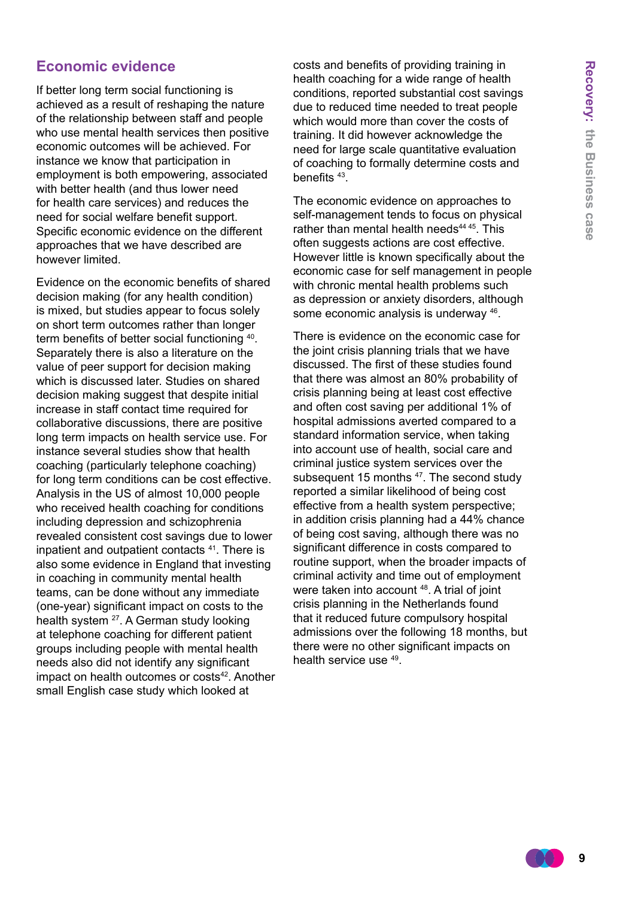### **Economic evidence**

If better long term social functioning is achieved as a result of reshaping the nature of the relationship between staff and people who use mental health services then positive economic outcomes will be achieved. For instance we know that participation in employment is both empowering, associated with better health (and thus lower need for health care services) and reduces the need for social welfare benefit support. Specific economic evidence on the different approaches that we have described are however limited.

Evidence on the economic benefits of shared decision making (for any health condition) is mixed, but studies appear to focus solely on short term outcomes rather than longer term benefits of better social functioning 40. Separately there is also a literature on the value of peer support for decision making which is discussed later. Studies on shared decision making suggest that despite initial increase in staff contact time required for collaborative discussions, there are positive long term impacts on health service use. For instance several studies show that health coaching (particularly telephone coaching) for long term conditions can be cost effective. Analysis in the US of almost 10,000 people who received health coaching for conditions including depression and schizophrenia revealed consistent cost savings due to lower inpatient and outpatient contacts <sup>41</sup>. There is also some evidence in England that investing in coaching in community mental health teams, can be done without any immediate (one-year) significant impact on costs to the health system 27. A German study looking at telephone coaching for different patient groups including people with mental health needs also did not identify any significant impact on health outcomes or costs<sup>42</sup>. Another small English case study which looked at

costs and benefits of providing training in health coaching for a wide range of health conditions, reported substantial cost savings due to reduced time needed to treat people which would more than cover the costs of training. It did however acknowledge the need for large scale quantitative evaluation of coaching to formally determine costs and benefits 43.

The economic evidence on approaches to self-management tends to focus on physical rather than mental health needs $4445$ . This often suggests actions are cost effective. However little is known specifically about the economic case for self management in people with chronic mental health problems such as depression or anxiety disorders, although some economic analysis is underway 46.

There is evidence on the economic case for the joint crisis planning trials that we have discussed. The first of these studies found that there was almost an 80% probability of crisis planning being at least cost effective and often cost saving per additional 1% of hospital admissions averted compared to a standard information service, when taking into account use of health, social care and criminal justice system services over the subsequent 15 months <sup>47</sup>. The second study reported a similar likelihood of being cost effective from a health system perspective; in addition crisis planning had a 44% chance of being cost saving, although there was no significant difference in costs compared to routine support, when the broader impacts of criminal activity and time out of employment were taken into account <sup>48</sup>. A trial of joint crisis planning in the Netherlands found that it reduced future compulsory hospital admissions over the following 18 months, but there were no other significant impacts on health service use 49.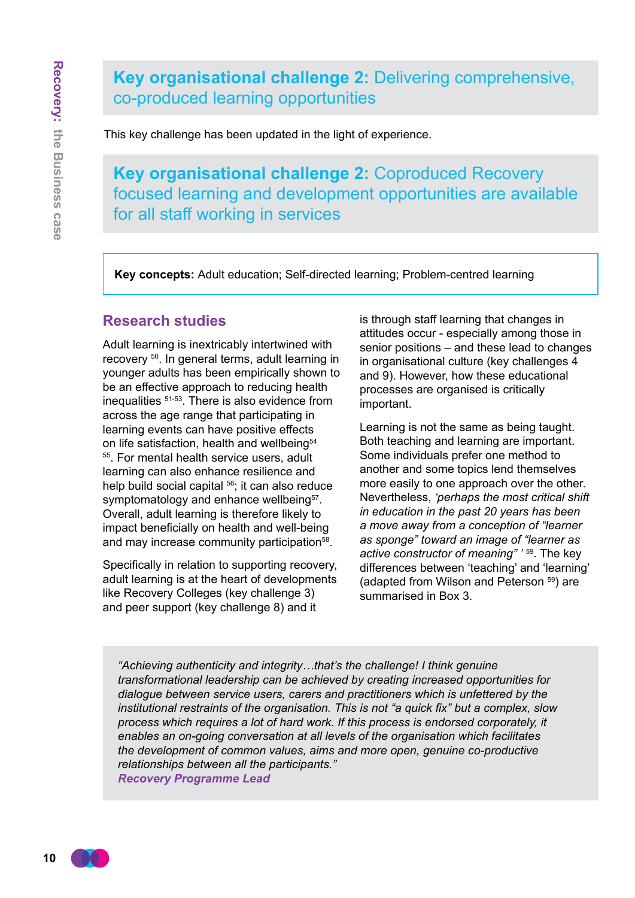# **Key organisational challenge 2:** Delivering comprehensive, co-produced learning opportunities

This key challenge has been updated in the light of experience.

**Key organisational challenge 2:** Coproduced Recovery focused learning and development opportunities are available for all staff working in services

**Key concepts:** Adult education; Self-directed learning; Problem-centred learning

### **Research studies**

Adult learning is inextricably intertwined with recovery 50. In general terms, adult learning in younger adults has been empirically shown to be an effective approach to reducing health inequalities 51-53. There is also evidence from across the age range that participating in learning events can have positive effects on life satisfaction, health and wellbeing<sup>54</sup> <sup>55</sup>. For mental health service users, adult learning can also enhance resilience and help build social capital <sup>56</sup>; it can also reduce symptomatology and enhance wellbeing<sup>57</sup>. Overall, adult learning is therefore likely to impact beneficially on health and well-being and may increase community participation<sup>58</sup>.

Specifically in relation to supporting recovery, adult learning is at the heart of developments like Recovery Colleges (key challenge 3) and peer support (key challenge 8) and it

is through staff learning that changes in attitudes occur - especially among those in senior positions – and these lead to changes in organisational culture (key challenges 4 and 9). However, how these educational processes are organised is critically important.

Learning is not the same as being taught. Both teaching and learning are important. Some individuals prefer one method to another and some topics lend themselves more easily to one approach over the other. Nevertheless, *'perhaps the most critical shift in education in the past 20 years has been a move away from a conception of "learner as sponge" toward an image of "learner as active constructor of meaning" '* <sup>59</sup>. The key differences between 'teaching' and 'learning' (adapted from Wilson and Peterson 59) are summarised in Box 3.

*"Achieving authenticity and integrity…that's the challenge! I think genuine transformational leadership can be achieved by creating increased opportunities for dialogue between service users, carers and practitioners which is unfettered by the institutional restraints of the organisation. This is not "a quick fix" but a complex, slow process which requires a lot of hard work. If this process is endorsed corporately, it enables an on-going conversation at all levels of the organisation which facilitates the development of common values, aims and more open, genuine co-productive relationships between all the participants." Recovery Programme Lead*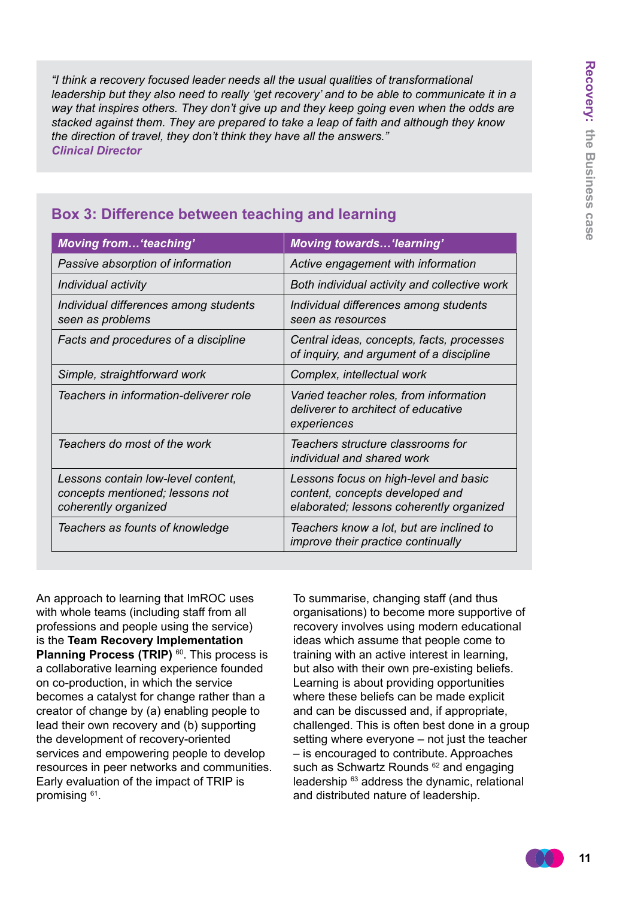*"I think a recovery focused leader needs all the usual qualities of transformational leadership but they also need to really 'get recovery' and to be able to communicate it in a way that inspires others. They don't give up and they keep going even when the odds are stacked against them. They are prepared to take a leap of faith and although they know the direction of travel, they don't think they have all the answers." Clinical Director* 

| <b>Moving from 'teaching'</b>                                                                 | <b>Moving towards'learning'</b>                                                                                      |
|-----------------------------------------------------------------------------------------------|----------------------------------------------------------------------------------------------------------------------|
| Passive absorption of information                                                             | Active engagement with information                                                                                   |
| Individual activity                                                                           | Both individual activity and collective work                                                                         |
| Individual differences among students<br>seen as problems                                     | Individual differences among students<br>seen as resources                                                           |
| Facts and procedures of a discipline                                                          | Central ideas, concepts, facts, processes<br>of inquiry, and argument of a discipline                                |
| Simple, straightforward work                                                                  | Complex, intellectual work                                                                                           |
| Teachers in information-deliverer role                                                        | Varied teacher roles, from information<br>deliverer to architect of educative<br>experiences                         |
| Teachers do most of the work                                                                  | Teachers structure classrooms for<br>individual and shared work                                                      |
| Lessons contain low-level content,<br>concepts mentioned; lessons not<br>coherently organized | Lessons focus on high-level and basic<br>content, concepts developed and<br>elaborated; lessons coherently organized |
| Teachers as founts of knowledge                                                               | Teachers know a lot, but are inclined to<br><i>improve their practice continually</i>                                |

### **Box 3: Difference between teaching and learning**

An approach to learning that ImROC uses with whole teams (including staff from all professions and people using the service) is the **Team Recovery Implementation Planning Process (TRIP)** <sup>60</sup>. This process is a collaborative learning experience founded on co-production, in which the service becomes a catalyst for change rather than a creator of change by (a) enabling people to lead their own recovery and (b) supporting the development of recovery-oriented services and empowering people to develop resources in peer networks and communities. Early evaluation of the impact of TRIP is promising <sup>61</sup>.

To summarise, changing staff (and thus organisations) to become more supportive of recovery involves using modern educational ideas which assume that people come to training with an active interest in learning, but also with their own pre-existing beliefs. Learning is about providing opportunities where these beliefs can be made explicit and can be discussed and, if appropriate, challenged. This is often best done in a group setting where everyone – not just the teacher – is encouraged to contribute. Approaches such as Schwartz Rounds <sup>62</sup> and engaging leadership <sup>63</sup> address the dynamic, relational and distributed nature of leadership.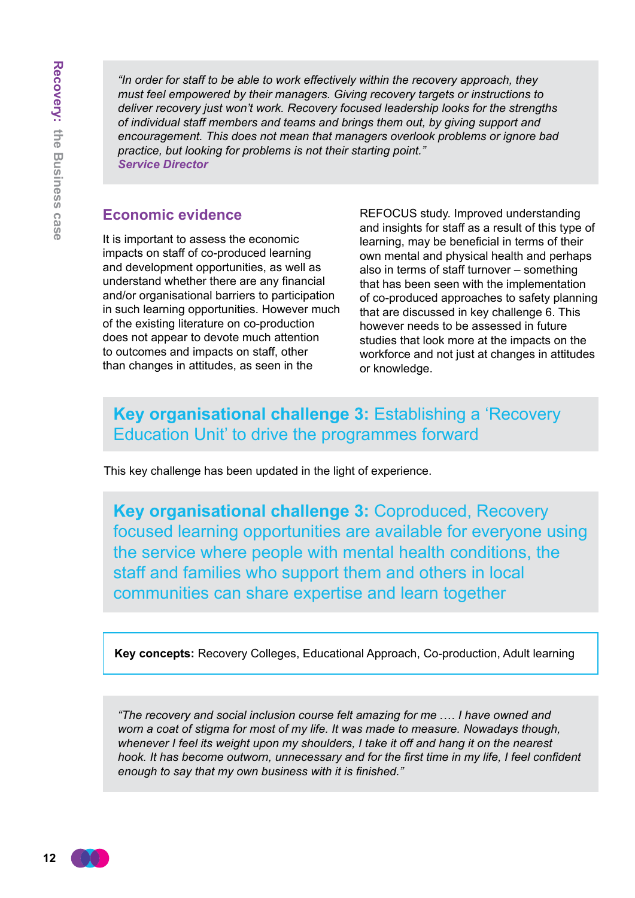*"In order for staff to be able to work effectively within the recovery approach, they must feel empowered by their managers. Giving recovery targets or instructions to deliver recovery just won't work. Recovery focused leadership looks for the strengths of individual staff members and teams and brings them out, by giving support and encouragement. This does not mean that managers overlook problems or ignore bad practice, but looking for problems is not their starting point." Service Director*

### **Economic evidence**

It is important to assess the economic impacts on staff of co-produced learning and development opportunities, as well as understand whether there are any financial and/or organisational barriers to participation in such learning opportunities. However much of the existing literature on co-production does not appear to devote much attention to outcomes and impacts on staff, other than changes in attitudes, as seen in the

REFOCUS study. Improved understanding and insights for staff as a result of this type of learning, may be beneficial in terms of their own mental and physical health and perhaps also in terms of staff turnover – something that has been seen with the implementation of co-produced approaches to safety planning that are discussed in key challenge 6. This however needs to be assessed in future studies that look more at the impacts on the workforce and not just at changes in attitudes or knowledge.

# **Key organisational challenge 3:** Establishing a 'Recovery Education Unit' to drive the programmes forward

This key challenge has been updated in the light of experience.

**Key organisational challenge 3:** Coproduced, Recovery focused learning opportunities are available for everyone using the service where people with mental health conditions, the staff and families who support them and others in local communities can share expertise and learn together

**Key concepts:** Recovery Colleges, Educational Approach, Co-production, Adult learning

*"The recovery and social inclusion course felt amazing for me .… I have owned and worn a coat of stigma for most of my life. It was made to measure. Nowadays though, whenever I feel its weight upon my shoulders, I take it off and hang it on the nearest hook. It has become outworn, unnecessary and for the first time in my life, I feel confident enough to say that my own business with it is finished."*

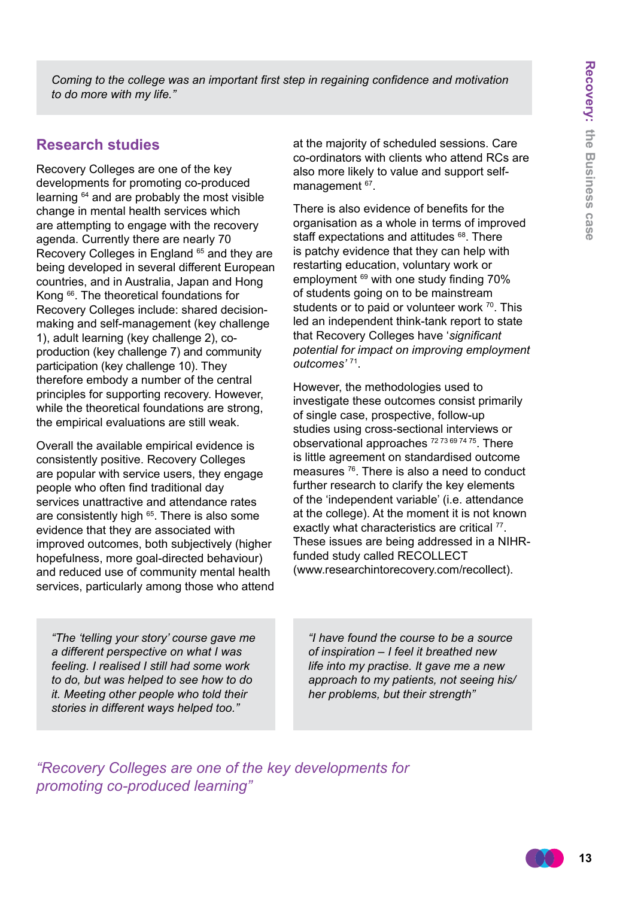*Coming to the college was an important first step in regaining confidence and motivation to do more with my life."*

### **Research studies**

Recovery Colleges are one of the key developments for promoting co-produced learning 64 and are probably the most visible change in mental health services which are attempting to engage with the recovery agenda. Currently there are nearly 70 Recovery Colleges in England <sup>65</sup> and they are being developed in several different European countries, and in Australia, Japan and Hong Kong 66. The theoretical foundations for Recovery Colleges include: shared decisionmaking and self-management (key challenge 1), adult learning (key challenge 2), coproduction (key challenge 7) and community participation (key challenge 10). They therefore embody a number of the central principles for supporting recovery. However, while the theoretical foundations are strong, the empirical evaluations are still weak.

Overall the available empirical evidence is consistently positive. Recovery Colleges are popular with service users, they engage people who often find traditional day services unattractive and attendance rates are consistently high <sup>65</sup>. There is also some evidence that they are associated with improved outcomes, both subjectively (higher hopefulness, more goal-directed behaviour) and reduced use of community mental health services, particularly among those who attend

*"The 'telling your story' course gave me a different perspective on what I was feeling. I realised I still had some work to do, but was helped to see how to do it. Meeting other people who told their stories in different ways helped too."*

at the majority of scheduled sessions. Care co-ordinators with clients who attend RCs are also more likely to value and support selfmanagement <sup>67</sup>.

There is also evidence of benefits for the organisation as a whole in terms of improved staff expectations and attitudes <sup>68</sup>. There is patchy evidence that they can help with restarting education, voluntary work or employment <sup>69</sup> with one study finding 70% of students going on to be mainstream students or to paid or volunteer work <sup>70</sup>. This led an independent think-tank report to state that Recovery Colleges have '*significant potential for impact on improving employment outcomes'* <sup>71</sup>.

However, the methodologies used to investigate these outcomes consist primarily of single case, prospective, follow-up studies using cross-sectional interviews or observational approaches 72 73 69 74 75. There is little agreement on standardised outcome measures <sup>76</sup>. There is also a need to conduct further research to clarify the key elements of the 'independent variable' (i.e. attendance at the college). At the moment it is not known exactly what characteristics are critical <sup>77</sup>. These issues are being addressed in a NIHRfunded study called RECOLLECT (www.researchintorecovery.com/recollect).

*"I have found the course to be a source of inspiration – I feel it breathed new life into my practise. It gave me a new approach to my patients, not seeing his/ her problems, but their strength"*

*"Recovery Colleges are one of the key developments for promoting co-produced learning"*

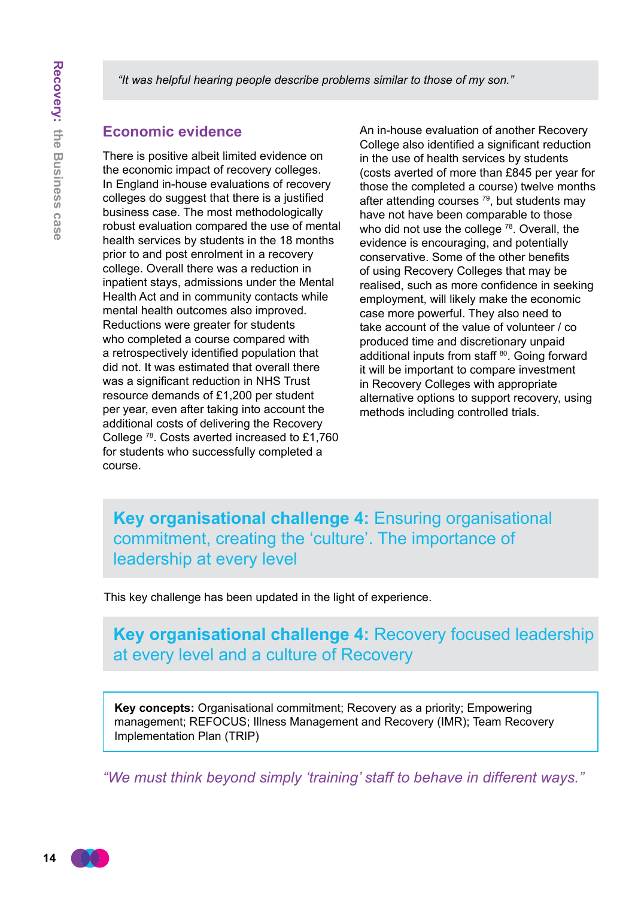*"It was helpful hearing people describe problems similar to those of my son."*

#### **Economic evidence**

There is positive albeit limited evidence on the economic impact of recovery colleges. In England in-house evaluations of recovery colleges do suggest that there is a justified business case. The most methodologically robust evaluation compared the use of mental health services by students in the 18 months prior to and post enrolment in a recovery college. Overall there was a reduction in inpatient stays, admissions under the Mental Health Act and in community contacts while mental health outcomes also improved. Reductions were greater for students who completed a course compared with a retrospectively identified population that did not. It was estimated that overall there was a significant reduction in NHS Trust resource demands of £1,200 per student per year, even after taking into account the additional costs of delivering the Recovery College <sup>78</sup>. Costs averted increased to £1,760 for students who successfully completed a course.

An in-house evaluation of another Recovery College also identified a significant reduction in the use of health services by students (costs averted of more than £845 per year for those the completed a course) twelve months after attending courses  $79$ , but students may have not have been comparable to those who did not use the college <sup>78</sup>. Overall, the evidence is encouraging, and potentially conservative. Some of the other benefits of using Recovery Colleges that may be realised, such as more confidence in seeking employment, will likely make the economic case more powerful. They also need to take account of the value of volunteer / co produced time and discretionary unpaid additional inputs from staff 80. Going forward it will be important to compare investment in Recovery Colleges with appropriate alternative options to support recovery, using methods including controlled trials.

**Key organisational challenge 4:** Ensuring organisational commitment, creating the 'culture'. The importance of leadership at every level

This key challenge has been updated in the light of experience.

**Key organisational challenge 4:** Recovery focused leadership at every level and a culture of Recovery

**Key concepts:** Organisational commitment; Recovery as a priority; Empowering management; REFOCUS; Illness Management and Recovery (IMR); Team Recovery Implementation Plan (TRIP)

*"We must think beyond simply 'training' staff to behave in different ways."*

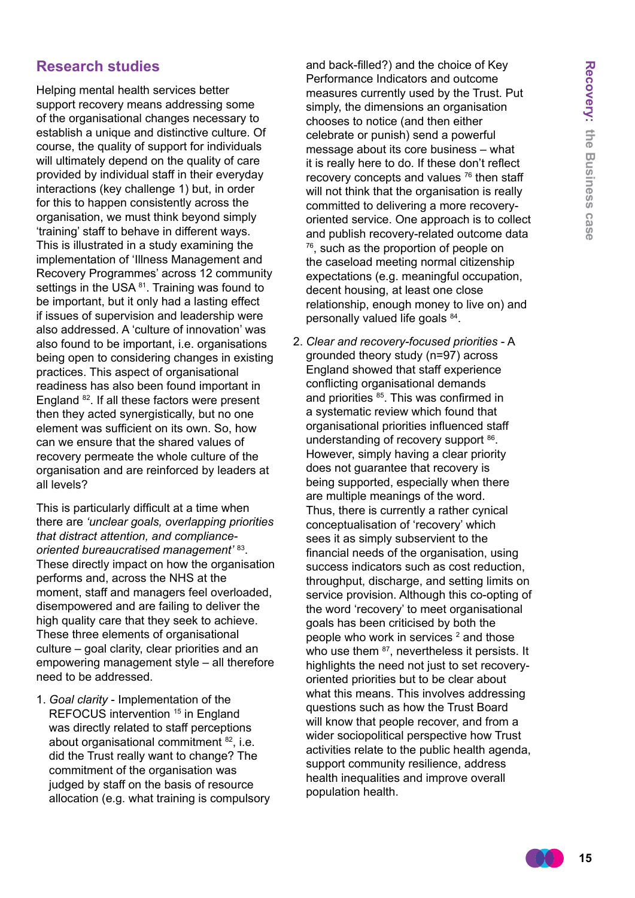### **Research studies**

Helping mental health services better support recovery means addressing some of the organisational changes necessary to establish a unique and distinctive culture. Of course, the quality of support for individuals will ultimately depend on the quality of care provided by individual staff in their everyday interactions (key challenge 1) but, in order for this to happen consistently across the organisation, we must think beyond simply 'training' staff to behave in different ways. This is illustrated in a study examining the implementation of 'Illness Management and Recovery Programmes' across 12 community settings in the USA 81. Training was found to be important, but it only had a lasting effect if issues of supervision and leadership were also addressed. A 'culture of innovation' was also found to be important, i.e. organisations being open to considering changes in existing practices. This aspect of organisational readiness has also been found important in England <sup>82</sup>. If all these factors were present then they acted synergistically, but no one element was sufficient on its own. So, how can we ensure that the shared values of recovery permeate the whole culture of the organisation and are reinforced by leaders at all levels?

This is particularly difficult at a time when there are *'unclear goals, overlapping priorities that distract attention, and complianceoriented bureaucratised management'* <sup>83</sup>. These directly impact on how the organisation performs and, across the NHS at the moment, staff and managers feel overloaded, disempowered and are failing to deliver the high quality care that they seek to achieve. These three elements of organisational culture – goal clarity, clear priorities and an empowering management style – all therefore need to be addressed.

1. *Goal clarity* - Implementation of the REFOCUS intervention <sup>15</sup> in England was directly related to staff perceptions about organisational commitment 82, i.e. did the Trust really want to change? The commitment of the organisation was judged by staff on the basis of resource allocation (e.g. what training is compulsory and back-filled?) and the choice of Key Performance Indicators and outcome measures currently used by the Trust. Put simply, the dimensions an organisation chooses to notice (and then either celebrate or punish) send a powerful message about its core business – what it is really here to do. If these don't reflect recovery concepts and values <sup>76</sup> then staff will not think that the organisation is really committed to delivering a more recoveryoriented service. One approach is to collect and publish recovery-related outcome data 76, such as the proportion of people on the caseload meeting normal citizenship expectations (e.g. meaningful occupation, decent housing, at least one close relationship, enough money to live on) and personally valued life goals 84.

2. *Clear and recovery-focused priorities* - A grounded theory study (n=97) across England showed that staff experience conflicting organisational demands and priorities <sup>85</sup>. This was confirmed in a systematic review which found that organisational priorities influenced staff understanding of recovery support <sup>86</sup>. However, simply having a clear priority does not guarantee that recovery is being supported, especially when there are multiple meanings of the word. Thus, there is currently a rather cynical conceptualisation of 'recovery' which sees it as simply subservient to the financial needs of the organisation, using success indicators such as cost reduction, throughput, discharge, and setting limits on service provision. Although this co-opting of the word 'recovery' to meet organisational goals has been criticised by both the people who work in services  $2$  and those who use them <sup>87</sup>, nevertheless it persists. It highlights the need not just to set recoveryoriented priorities but to be clear about what this means. This involves addressing questions such as how the Trust Board will know that people recover, and from a wider sociopolitical perspective how Trust activities relate to the public health agenda, support community resilience, address health inequalities and improve overall population health.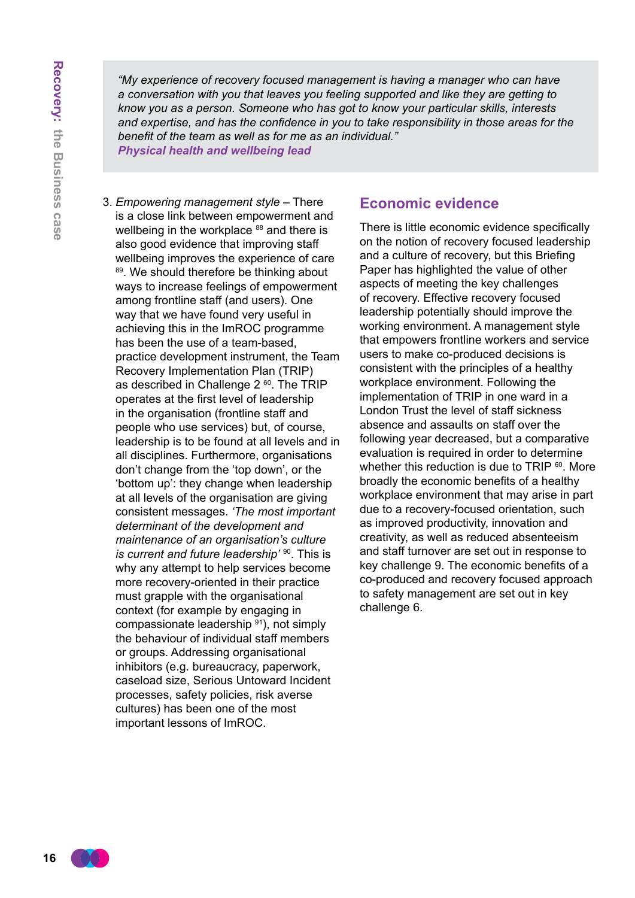*"My experience of recovery focused management is having a manager who can have a conversation with you that leaves you feeling supported and like they are getting to know you as a person. Someone who has got to know your particular skills, interests and expertise, and has the confidence in you to take responsibility in those areas for the benefit of the team as well as for me as an individual."*

*Physical health and wellbeing lead*

3. *Empowering management style* – There is a close link between empowerment and wellbeing in the workplace <sup>88</sup> and there is also good evidence that improving staff wellbeing improves the experience of care 89. We should therefore be thinking about ways to increase feelings of empowerment among frontline staff (and users). One way that we have found very useful in achieving this in the ImROC programme has been the use of a team-based, practice development instrument, the Team Recovery Implementation Plan (TRIP) as described in Challenge 2<sup>60</sup>. The TRIP operates at the first level of leadership in the organisation (frontline staff and people who use services) but, of course, leadership is to be found at all levels and in all disciplines. Furthermore, organisations don't change from the 'top down', or the 'bottom up': they change when leadership at all levels of the organisation are giving consistent messages. *'The most important determinant of the development and maintenance of an organisation's culture is current and future leadership*<sup>' 90</sup>. This is why any attempt to help services become more recovery-oriented in their practice must grapple with the organisational context (for example by engaging in compassionate leadership 91), not simply the behaviour of individual staff members or groups. Addressing organisational inhibitors (e.g. bureaucracy, paperwork, caseload size, Serious Untoward Incident processes, safety policies, risk averse cultures) has been one of the most important lessons of ImROC.

### **Economic evidence**

There is little economic evidence specifically on the notion of recovery focused leadership and a culture of recovery, but this Briefing Paper has highlighted the value of other aspects of meeting the key challenges of recovery. Effective recovery focused leadership potentially should improve the working environment. A management style that empowers frontline workers and service users to make co-produced decisions is consistent with the principles of a healthy workplace environment. Following the implementation of TRIP in one ward in a London Trust the level of staff sickness absence and assaults on staff over the following year decreased, but a comparative evaluation is required in order to determine whether this reduction is due to TRIP  $60$ . More broadly the economic benefits of a healthy workplace environment that may arise in part due to a recovery-focused orientation, such as improved productivity, innovation and creativity, as well as reduced absenteeism and staff turnover are set out in response to key challenge 9. The economic benefits of a co-produced and recovery focused approach to safety management are set out in key challenge 6.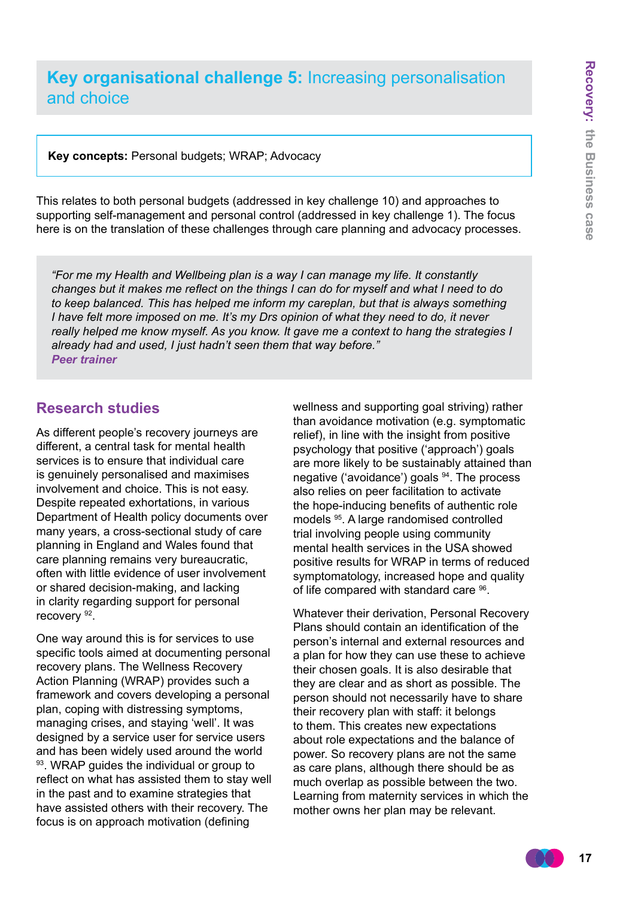## **Key organisational challenge 5:** Increasing personalisation and choice

**Key concepts:** Personal budgets; WRAP; Advocacy

This relates to both personal budgets (addressed in key challenge 10) and approaches to supporting self-management and personal control (addressed in key challenge 1). The focus here is on the translation of these challenges through care planning and advocacy processes.

*"For me my Health and Wellbeing plan is a way I can manage my life. It constantly changes but it makes me reflect on the things I can do for myself and what I need to do to keep balanced. This has helped me inform my careplan, but that is always something I have felt more imposed on me. It's my Drs opinion of what they need to do, it never really helped me know myself. As you know. It gave me a context to hang the strategies I already had and used, I just hadn't seen them that way before." Peer trainer*

### **Research studies**

As different people's recovery journeys are different, a central task for mental health services is to ensure that individual care is genuinely personalised and maximises involvement and choice. This is not easy. Despite repeated exhortations, in various Department of Health policy documents over many years, a cross-sectional study of care planning in England and Wales found that care planning remains very bureaucratic, often with little evidence of user involvement or shared decision-making, and lacking in clarity regarding support for personal recovery 92.

One way around this is for services to use specific tools aimed at documenting personal recovery plans. The Wellness Recovery Action Planning (WRAP) provides such a framework and covers developing a personal plan, coping with distressing symptoms, managing crises, and staying 'well'. It was designed by a service user for service users and has been widely used around the world 93. WRAP quides the individual or group to reflect on what has assisted them to stay well in the past and to examine strategies that have assisted others with their recovery. The focus is on approach motivation (defining

wellness and supporting goal striving) rather than avoidance motivation (e.g. symptomatic relief), in line with the insight from positive psychology that positive ('approach') goals are more likely to be sustainably attained than negative ('avoidance') goals 94. The process also relies on peer facilitation to activate the hope-inducing benefits of authentic role models <sup>95</sup>. A large randomised controlled trial involving people using community mental health services in the USA showed positive results for WRAP in terms of reduced symptomatology, increased hope and quality of life compared with standard care <sup>96</sup>.

Whatever their derivation, Personal Recovery Plans should contain an identification of the person's internal and external resources and a plan for how they can use these to achieve their chosen goals. It is also desirable that they are clear and as short as possible. The person should not necessarily have to share their recovery plan with staff: it belongs to them. This creates new expectations about role expectations and the balance of power. So recovery plans are not the same as care plans, although there should be as much overlap as possible between the two. Learning from maternity services in which the mother owns her plan may be relevant.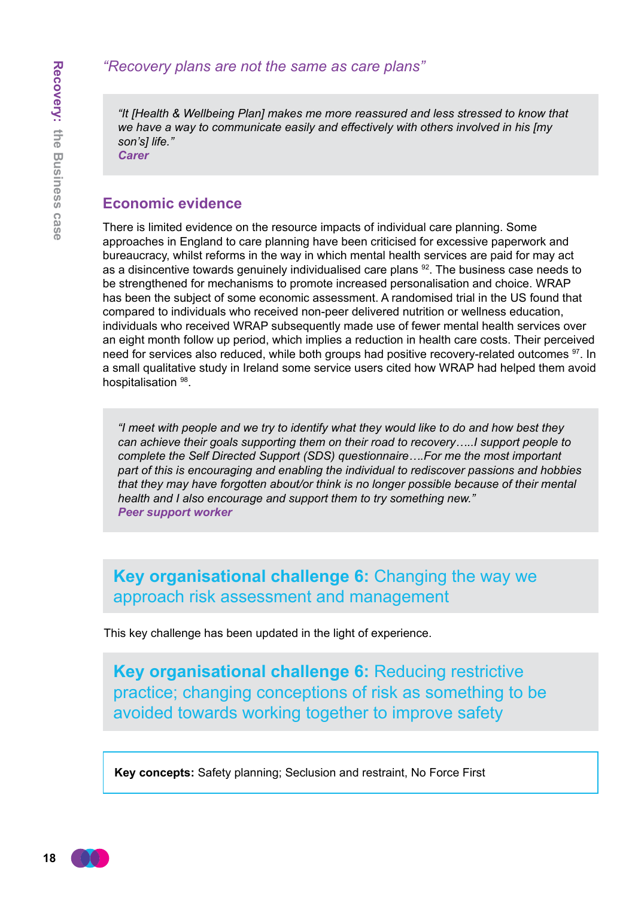*"It [Health & Wellbeing Plan] makes me more reassured and less stressed to know that we have a way to communicate easily and effectively with others involved in his [my son's] life."*

*Carer*

### **Economic evidence**

There is limited evidence on the resource impacts of individual care planning. Some approaches in England to care planning have been criticised for excessive paperwork and bureaucracy, whilst reforms in the way in which mental health services are paid for may act as a disincentive towards genuinely individualised care plans <sup>92</sup>. The business case needs to be strengthened for mechanisms to promote increased personalisation and choice. WRAP has been the subject of some economic assessment. A randomised trial in the US found that compared to individuals who received non-peer delivered nutrition or wellness education, individuals who received WRAP subsequently made use of fewer mental health services over an eight month follow up period, which implies a reduction in health care costs. Their perceived need for services also reduced, while both groups had positive recovery-related outcomes <sup>97</sup>. In a small qualitative study in Ireland some service users cited how WRAP had helped them avoid hospitalisation <sup>98</sup>.

*"I meet with people and we try to identify what they would like to do and how best they can achieve their goals supporting them on their road to recovery…..I support people to complete the Self Directed Support (SDS) questionnaire….For me the most important part of this is encouraging and enabling the individual to rediscover passions and hobbies that they may have forgotten about/or think is no longer possible because of their mental health and I also encourage and support them to try something new." Peer support worker*

**Key organisational challenge 6:** Changing the way we approach risk assessment and management

This key challenge has been updated in the light of experience.

**Key organisational challenge 6:** Reducing restrictive practice; changing conceptions of risk as something to be avoided towards working together to improve safety

**Key concepts:** Safety planning; Seclusion and restraint, No Force First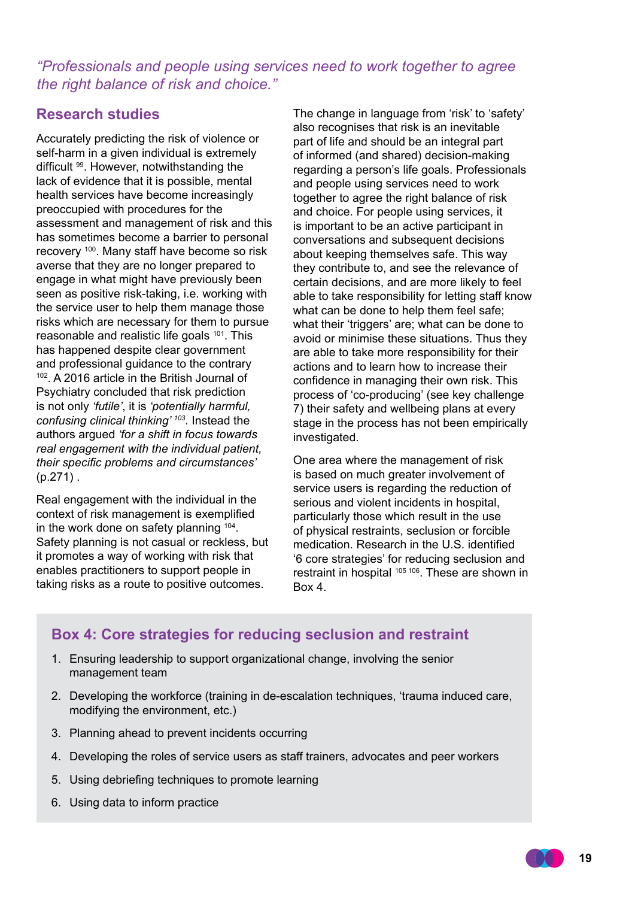### *"Professionals and people using services need to work together to agree the right balance of risk and choice."*

### **Research studies**

Accurately predicting the risk of violence or self-harm in a given individual is extremely difficult 99. However, notwithstanding the lack of evidence that it is possible, mental health services have become increasingly preoccupied with procedures for the assessment and management of risk and this has sometimes become a barrier to personal recovery 100. Many staff have become so risk averse that they are no longer prepared to engage in what might have previously been seen as positive risk-taking, i.e. working with the service user to help them manage those risks which are necessary for them to pursue reasonable and realistic life goals 101. This has happened despite clear government and professional guidance to the contrary 102. A 2016 article in the British Journal of Psychiatry concluded that risk prediction is not only *'futile'*, it is *'potentially harmful, confusing clinical thinking' 103.* Instead the authors argued *'for a shift in focus towards real engagement with the individual patient, their specific problems and circumstances'*  (p.271) .

Real engagement with the individual in the context of risk management is exemplified in the work done on safety planning 104. Safety planning is not casual or reckless, but it promotes a way of working with risk that enables practitioners to support people in taking risks as a route to positive outcomes.

The change in language from 'risk' to 'safety' also recognises that risk is an inevitable part of life and should be an integral part of informed (and shared) decision-making regarding a person's life goals. Professionals and people using services need to work together to agree the right balance of risk and choice. For people using services, it is important to be an active participant in conversations and subsequent decisions about keeping themselves safe. This way they contribute to, and see the relevance of certain decisions, and are more likely to feel able to take responsibility for letting staff know what can be done to help them feel safe; what their 'triggers' are; what can be done to avoid or minimise these situations. Thus they are able to take more responsibility for their actions and to learn how to increase their confidence in managing their own risk. This process of 'co-producing' (see key challenge 7) their safety and wellbeing plans at every stage in the process has not been empirically investigated.

One area where the management of risk is based on much greater involvement of service users is regarding the reduction of serious and violent incidents in hospital, particularly those which result in the use of physical restraints, seclusion or forcible medication. Research in the U.S. identified '6 core strategies' for reducing seclusion and restraint in hospital <sup>105 106</sup>. These are shown in Box 4.

### **Box 4: Core strategies for reducing seclusion and restraint**

- 1. Ensuring leadership to support organizational change, involving the senior management team
- 2. Developing the workforce (training in de-escalation techniques, 'trauma induced care, modifying the environment, etc.)
- 3. Planning ahead to prevent incidents occurring
- 4. Developing the roles of service users as staff trainers, advocates and peer workers
- 5. Using debriefing techniques to promote learning
- 6. Using data to inform practice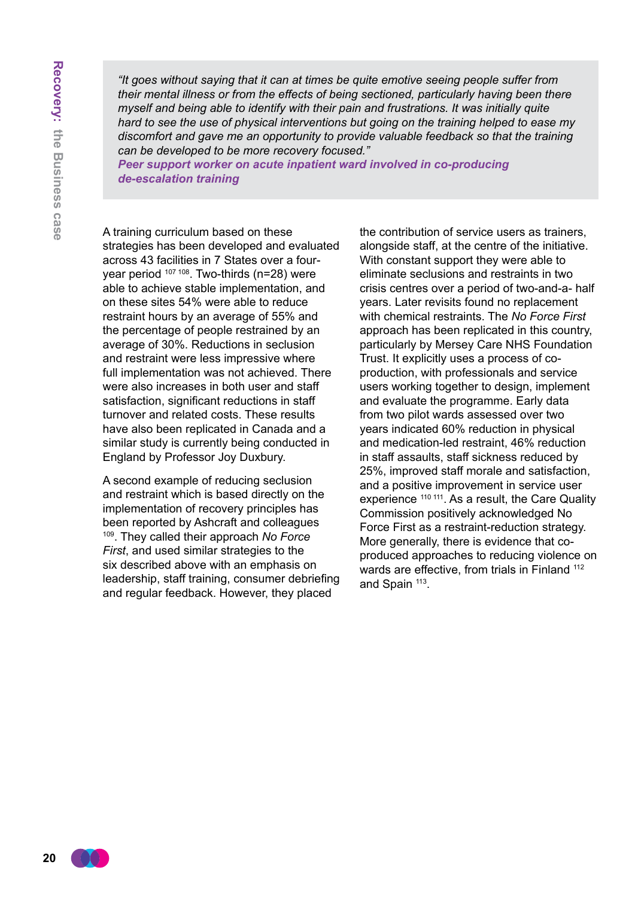*"It goes without saying that it can at times be quite emotive seeing people suffer from their mental illness or from the effects of being sectioned, particularly having been there myself and being able to identify with their pain and frustrations. It was initially quite hard to see the use of physical interventions but going on the training helped to ease my discomfort and gave me an opportunity to provide valuable feedback so that the training can be developed to be more recovery focused."*

*Peer support worker on acute inpatient ward involved in co-producing de-escalation training*

A training curriculum based on these strategies has been developed and evaluated across 43 facilities in 7 States over a fouryear period <sup>107 108</sup>. Two-thirds (n=28) were able to achieve stable implementation, and on these sites 54% were able to reduce restraint hours by an average of 55% and the percentage of people restrained by an average of 30%. Reductions in seclusion and restraint were less impressive where full implementation was not achieved. There were also increases in both user and staff satisfaction, significant reductions in staff turnover and related costs. These results have also been replicated in Canada and a similar study is currently being conducted in England by Professor Joy Duxbury.

A second example of reducing seclusion and restraint which is based directly on the implementation of recovery principles has been reported by Ashcraft and colleagues <sup>109</sup>. They called their approach *No Force First*, and used similar strategies to the six described above with an emphasis on leadership, staff training, consumer debriefing and regular feedback. However, they placed

the contribution of service users as trainers, alongside staff, at the centre of the initiative. With constant support they were able to eliminate seclusions and restraints in two crisis centres over a period of two-and-a- half years. Later revisits found no replacement with chemical restraints. The *No Force First* approach has been replicated in this country, particularly by Mersey Care NHS Foundation Trust. It explicitly uses a process of coproduction, with professionals and service users working together to design, implement and evaluate the programme. Early data from two pilot wards assessed over two years indicated 60% reduction in physical and medication-led restraint, 46% reduction in staff assaults, staff sickness reduced by 25%, improved staff morale and satisfaction, and a positive improvement in service user experience <sup>110 111</sup>. As a result, the Care Quality Commission positively acknowledged No Force First as a restraint-reduction strategy. More generally, there is evidence that coproduced approaches to reducing violence on wards are effective, from trials in Finland <sup>112</sup> and Spain <sup>113</sup>.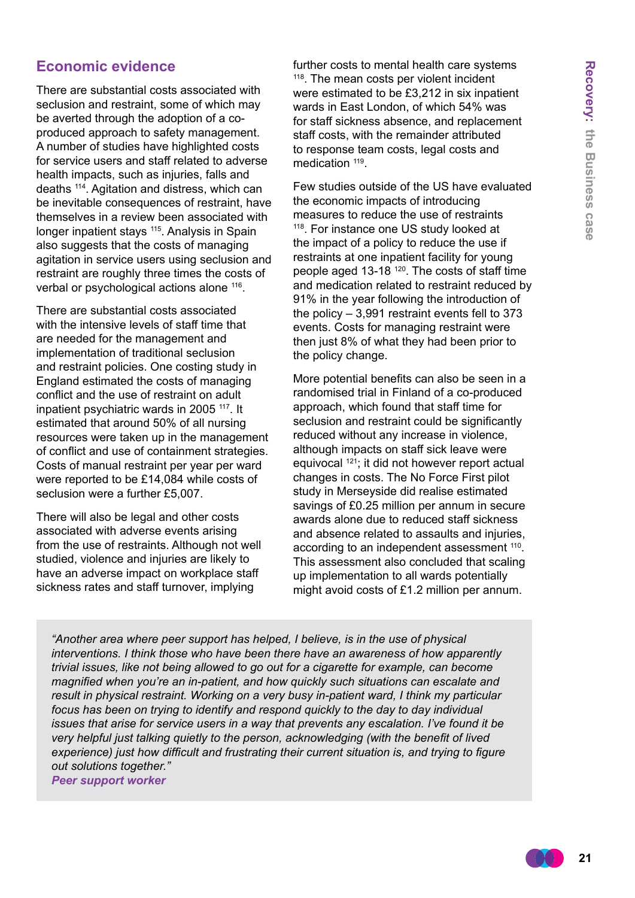### **Economic evidence**

There are substantial costs associated with seclusion and restraint, some of which may be averted through the adoption of a coproduced approach to safety management. A number of studies have highlighted costs for service users and staff related to adverse health impacts, such as injuries, falls and deaths 114. Agitation and distress, which can be inevitable consequences of restraint, have themselves in a review been associated with longer inpatient stays <sup>115</sup>. Analysis in Spain also suggests that the costs of managing agitation in service users using seclusion and restraint are roughly three times the costs of verbal or psychological actions alone 116.

There are substantial costs associated with the intensive levels of staff time that are needed for the management and implementation of traditional seclusion and restraint policies. One costing study in England estimated the costs of managing conflict and the use of restraint on adult inpatient psychiatric wards in 2005 117. It estimated that around 50% of all nursing resources were taken up in the management of conflict and use of containment strategies. Costs of manual restraint per year per ward were reported to be £14,084 while costs of seclusion were a further £5,007.

There will also be legal and other costs associated with adverse events arising from the use of restraints. Although not well studied, violence and injuries are likely to have an adverse impact on workplace staff sickness rates and staff turnover, implying

further costs to mental health care systems 118. The mean costs per violent incident were estimated to be £3,212 in six inpatient wards in East London, of which 54% was for staff sickness absence, and replacement staff costs, with the remainder attributed to response team costs, legal costs and medication  $119$ .

Few studies outside of the US have evaluated the economic impacts of introducing measures to reduce the use of restraints 118. For instance one US study looked at the impact of a policy to reduce the use if restraints at one inpatient facility for young people aged 13-18<sup>120</sup>. The costs of staff time and medication related to restraint reduced by 91% in the year following the introduction of the policy – 3,991 restraint events fell to 373 events. Costs for managing restraint were then just 8% of what they had been prior to the policy change.

More potential benefits can also be seen in a randomised trial in Finland of a co-produced approach, which found that staff time for seclusion and restraint could be significantly reduced without any increase in violence, although impacts on staff sick leave were equivocal 121; it did not however report actual changes in costs. The No Force First pilot study in Merseyside did realise estimated savings of £0.25 million per annum in secure awards alone due to reduced staff sickness and absence related to assaults and injuries. according to an independent assessment <sup>110</sup>. This assessment also concluded that scaling up implementation to all wards potentially might avoid costs of £1.2 million per annum.

*"Another area where peer support has helped, I believe, is in the use of physical interventions. I think those who have been there have an awareness of how apparently trivial issues, like not being allowed to go out for a cigarette for example, can become magnified when you're an in-patient, and how quickly such situations can escalate and result in physical restraint. Working on a very busy in-patient ward, I think my particular focus has been on trying to identify and respond quickly to the day to day individual issues that arise for service users in a way that prevents any escalation. I've found it be very helpful just talking quietly to the person, acknowledging (with the benefit of lived experience) just how difficult and frustrating their current situation is, and trying to figure out solutions together." Peer support worker*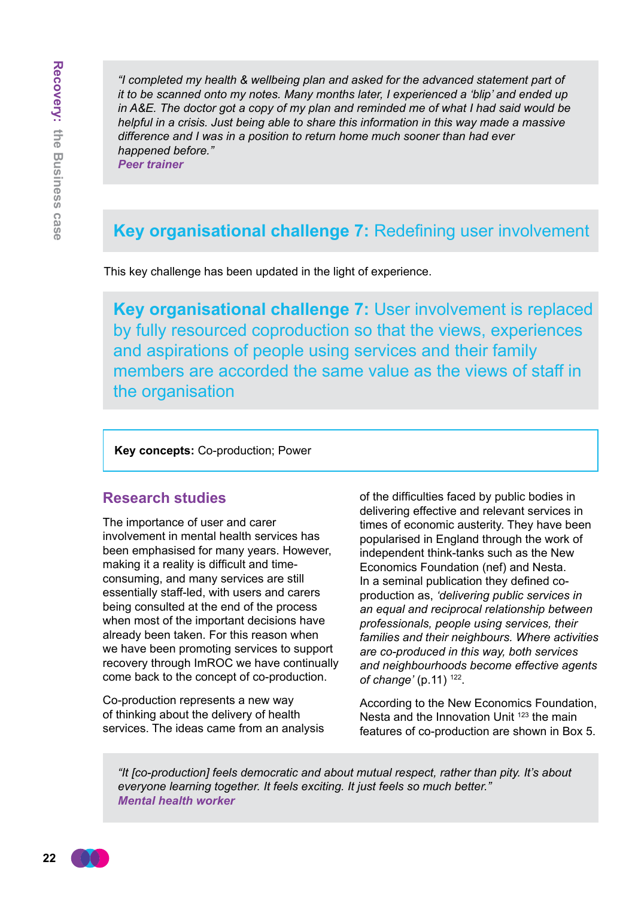*"I completed my health & wellbeing plan and asked for the advanced statement part of it to be scanned onto my notes. Many months later, I experienced a 'blip' and ended up in A&E. The doctor got a copy of my plan and reminded me of what I had said would be helpful in a crisis. Just being able to share this information in this way made a massive difference and I was in a position to return home much sooner than had ever happened before."*

*Peer trainer*

# **Key organisational challenge 7:** Redefining user involvement

This key challenge has been updated in the light of experience.

**Key organisational challenge 7:** User involvement is replaced by fully resourced coproduction so that the views, experiences and aspirations of people using services and their family members are accorded the same value as the views of staff in the organisation

**Key concepts:** Co-production; Power

### **Research studies**

The importance of user and carer involvement in mental health services has been emphasised for many years. However, making it a reality is difficult and timeconsuming, and many services are still essentially staff-led, with users and carers being consulted at the end of the process when most of the important decisions have already been taken. For this reason when we have been promoting services to support recovery through ImROC we have continually come back to the concept of co-production.

Co-production represents a new way of thinking about the delivery of health services. The ideas came from an analysis

of the difficulties faced by public bodies in delivering effective and relevant services in times of economic austerity. They have been popularised in England through the work of independent think-tanks such as the New Economics Foundation (nef) and Nesta. In a seminal publication they defined coproduction as, *'delivering public services in an equal and reciprocal relationship between professionals, people using services, their families and their neighbours. Where activities are co-produced in this way, both services and neighbourhoods become effective agents of change'* (p.11) 122.

According to the New Economics Foundation, Nesta and the Innovation Unit <sup>123</sup> the main features of co-production are shown in Box 5.

*"It [co-production] feels democratic and about mutual respect, rather than pity. It's about everyone learning together. It feels exciting. It just feels so much better." Mental health worker*

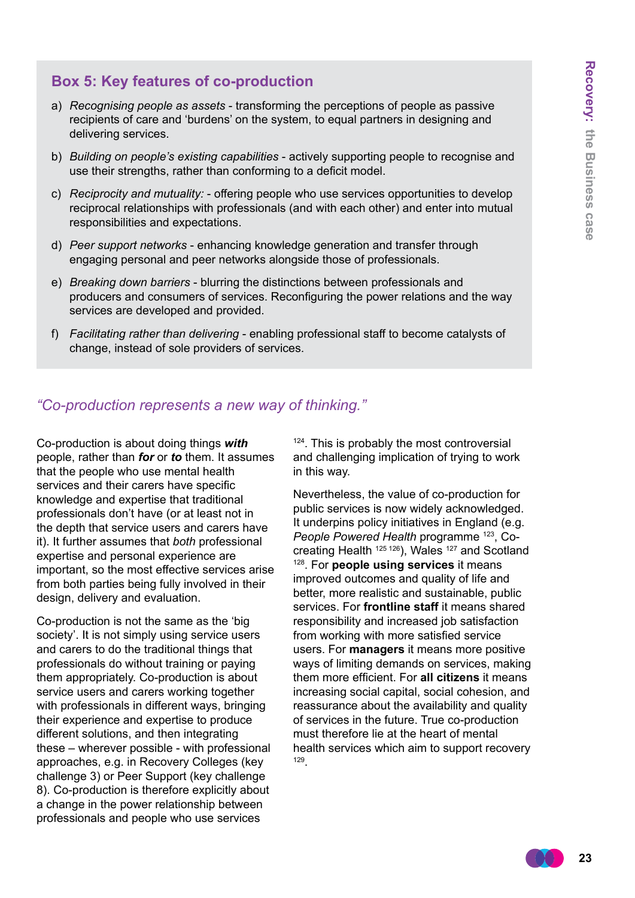### **Box 5: Key features of co-production**

- a) *Recognising people as assets* transforming the perceptions of people as passive recipients of care and 'burdens' on the system, to equal partners in designing and delivering services.
- b) *Building on people's existing capabilities* actively supporting people to recognise and use their strengths, rather than conforming to a deficit model.
- c) *Reciprocity and mutuality:* offering people who use services opportunities to develop reciprocal relationships with professionals (and with each other) and enter into mutual responsibilities and expectations.
- d) *Peer support networks* enhancing knowledge generation and transfer through engaging personal and peer networks alongside those of professionals.
- e) *Breaking down barriers* blurring the distinctions between professionals and producers and consumers of services. Reconfiguring the power relations and the way services are developed and provided.
- f) *Facilitating rather than delivering* enabling professional staff to become catalysts of change, instead of sole providers of services.

### *"Co-production represents a new way of thinking."*

Co-production is about doing things *with* people, rather than *for* or *to* them. It assumes that the people who use mental health services and their carers have specific knowledge and expertise that traditional professionals don't have (or at least not in the depth that service users and carers have it). It further assumes that *both* professional expertise and personal experience are important, so the most effective services arise from both parties being fully involved in their design, delivery and evaluation.

Co-production is not the same as the 'big society'. It is not simply using service users and carers to do the traditional things that professionals do without training or paying them appropriately. Co-production is about service users and carers working together with professionals in different ways, bringing their experience and expertise to produce different solutions, and then integrating these – wherever possible - with professional approaches, e.g. in Recovery Colleges (key challenge 3) or Peer Support (key challenge 8). Co-production is therefore explicitly about a change in the power relationship between professionals and people who use services

<sup>124</sup>. This is probably the most controversial and challenging implication of trying to work in this way.

Nevertheless, the value of co-production for public services is now widely acknowledged. It underpins policy initiatives in England (e.g. *People Powered Health* programme 123, Cocreating Health <sup>125 126</sup>), Wales <sup>127</sup> and Scotland 128. For **people using services** it means improved outcomes and quality of life and better, more realistic and sustainable, public services. For **frontline staff** it means shared responsibility and increased job satisfaction from working with more satisfied service users. For **managers** it means more positive ways of limiting demands on services, making them more efficient. For **all citizens** it means increasing social capital, social cohesion, and reassurance about the availability and quality of services in the future. True co-production must therefore lie at the heart of mental health services which aim to support recovery <sup>129</sup>.

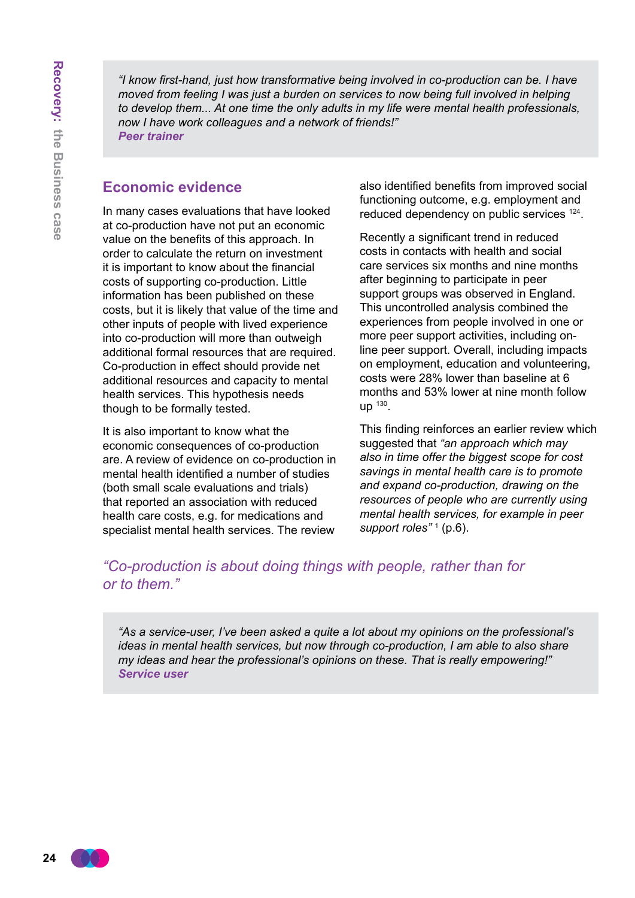*"I know first-hand, just how transformative being involved in co-production can be. I have moved from feeling I was just a burden on services to now being full involved in helping to develop them... At one time the only adults in my life were mental health professionals, now I have work colleagues and a network of friends!" Peer trainer*

### **Economic evidence**

In many cases evaluations that have looked at co-production have not put an economic value on the benefits of this approach. In order to calculate the return on investment it is important to know about the financial costs of supporting co-production. Little information has been published on these costs, but it is likely that value of the time and other inputs of people with lived experience into co-production will more than outweigh additional formal resources that are required. Co-production in effect should provide net additional resources and capacity to mental health services. This hypothesis needs though to be formally tested.

It is also important to know what the economic consequences of co-production are. A review of evidence on co-production in mental health identified a number of studies (both small scale evaluations and trials) that reported an association with reduced health care costs, e.g. for medications and specialist mental health services. The review

also identified benefits from improved social functioning outcome, e.g. employment and reduced dependency on public services <sup>124</sup>.

Recently a significant trend in reduced costs in contacts with health and social care services six months and nine months after beginning to participate in peer support groups was observed in England. This uncontrolled analysis combined the experiences from people involved in one or more peer support activities, including online peer support. Overall, including impacts on employment, education and volunteering, costs were 28% lower than baseline at 6 months and 53% lower at nine month follow up <sup>130</sup>.

This finding reinforces an earlier review which suggested that *"an approach which may also in time offer the biggest scope for cost savings in mental health care is to promote and expand co-production, drawing on the resources of people who are currently using mental health services, for example in peer*  support roles"<sup>1</sup> (p.6).

*"Co-production is about doing things with people, rather than for or to them."*

*"As a service-user, I've been asked a quite a lot about my opinions on the professional's ideas in mental health services, but now through co-production, I am able to also share my ideas and hear the professional's opinions on these. That is really empowering!" Service user*

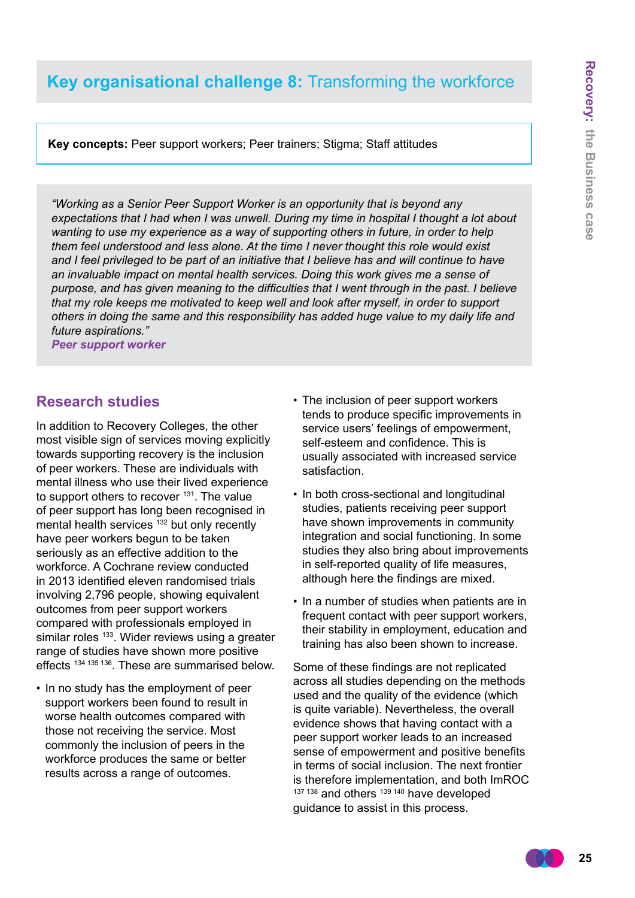# **Key organisational challenge 8:** Transforming the workforce

**Key concepts:** Peer support workers; Peer trainers; Stigma; Staff attitudes

*"Working as a Senior Peer Support Worker is an opportunity that is beyond any expectations that I had when I was unwell. During my time in hospital I thought a lot about wanting to use my experience as a way of supporting others in future, in order to help them feel understood and less alone. At the time I never thought this role would exist and I feel privileged to be part of an initiative that I believe has and will continue to have an invaluable impact on mental health services. Doing this work gives me a sense of purpose, and has given meaning to the difficulties that I went through in the past. I believe that my role keeps me motivated to keep well and look after myself, in order to support others in doing the same and this responsibility has added huge value to my daily life and future aspirations."*

*Peer support worker*

### **Research studies**

In addition to Recovery Colleges, the other most visible sign of services moving explicitly towards supporting recovery is the inclusion of peer workers. These are individuals with mental illness who use their lived experience to support others to recover <sup>131</sup>. The value of peer support has long been recognised in mental health services <sup>132</sup> but only recently have peer workers begun to be taken seriously as an effective addition to the workforce. A Cochrane review conducted in 2013 identified eleven randomised trials involving 2,796 people, showing equivalent outcomes from peer support workers compared with professionals employed in similar roles <sup>133</sup>. Wider reviews using a greater range of studies have shown more positive effects 134 135 136. These are summarised below.

• In no study has the employment of peer support workers been found to result in worse health outcomes compared with those not receiving the service. Most commonly the inclusion of peers in the workforce produces the same or better results across a range of outcomes.

- The inclusion of peer support workers tends to produce specific improvements in service users' feelings of empowerment, self-esteem and confidence. This is usually associated with increased service satisfaction.
- In both cross-sectional and longitudinal studies, patients receiving peer support have shown improvements in community integration and social functioning. In some studies they also bring about improvements in self-reported quality of life measures, although here the findings are mixed.
- In a number of studies when patients are in frequent contact with peer support workers, their stability in employment, education and training has also been shown to increase.

Some of these findings are not replicated across all studies depending on the methods used and the quality of the evidence (which is quite variable). Nevertheless, the overall evidence shows that having contact with a peer support worker leads to an increased sense of empowerment and positive benefits in terms of social inclusion. The next frontier is therefore implementation, and both ImROC 137 138 and others 139 140 have developed guidance to assist in this process.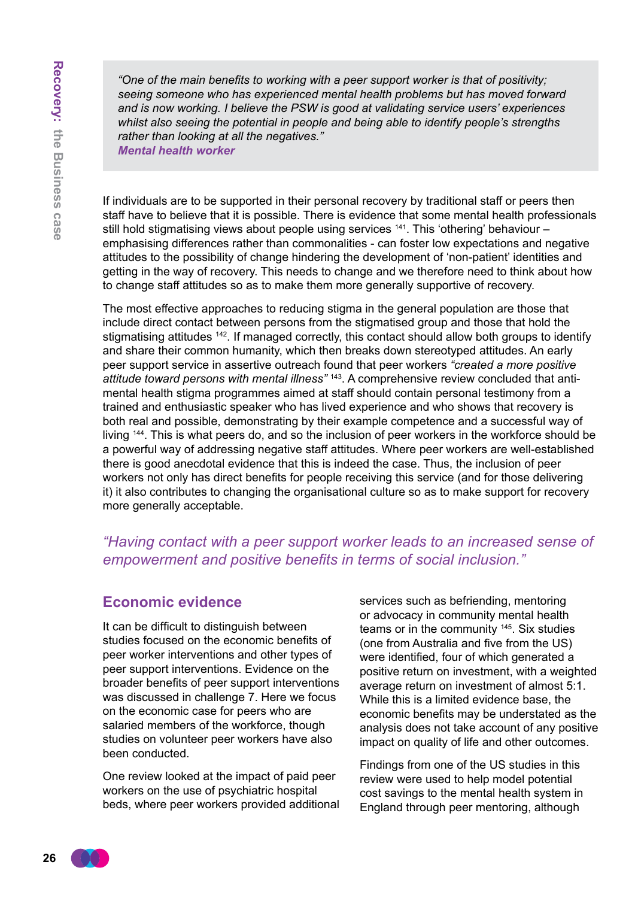*"One of the main benefits to working with a peer support worker is that of positivity; seeing someone who has experienced mental health problems but has moved forward and is now working. I believe the PSW is good at validating service users' experiences whilst also seeing the potential in people and being able to identify people's strengths rather than looking at all the negatives."*

*Mental health worker*

If individuals are to be supported in their personal recovery by traditional staff or peers then staff have to believe that it is possible. There is evidence that some mental health professionals still hold stigmatising views about people using services  $141$ . This 'othering' behaviour – emphasising differences rather than commonalities - can foster low expectations and negative attitudes to the possibility of change hindering the development of 'non-patient' identities and getting in the way of recovery. This needs to change and we therefore need to think about how to change staff attitudes so as to make them more generally supportive of recovery.

The most effective approaches to reducing stigma in the general population are those that include direct contact between persons from the stigmatised group and those that hold the stigmatising attitudes <sup>142</sup>. If managed correctly, this contact should allow both groups to identify and share their common humanity, which then breaks down stereotyped attitudes. An early peer support service in assertive outreach found that peer workers *"created a more positive attitude toward persons with mental illness"* 143. A comprehensive review concluded that antimental health stigma programmes aimed at staff should contain personal testimony from a trained and enthusiastic speaker who has lived experience and who shows that recovery is both real and possible, demonstrating by their example competence and a successful way of living <sup>144</sup>. This is what peers do, and so the inclusion of peer workers in the workforce should be a powerful way of addressing negative staff attitudes. Where peer workers are well-established there is good anecdotal evidence that this is indeed the case. Thus, the inclusion of peer workers not only has direct benefits for people receiving this service (and for those delivering it) it also contributes to changing the organisational culture so as to make support for recovery more generally acceptable.

### *"Having contact with a peer support worker leads to an increased sense of empowerment and positive benefits in terms of social inclusion."*

### **Economic evidence**

It can be difficult to distinguish between studies focused on the economic benefits of peer worker interventions and other types of peer support interventions. Evidence on the broader benefits of peer support interventions was discussed in challenge 7. Here we focus on the economic case for peers who are salaried members of the workforce, though studies on volunteer peer workers have also been conducted.

One review looked at the impact of paid peer workers on the use of psychiatric hospital beds, where peer workers provided additional services such as befriending, mentoring or advocacy in community mental health teams or in the community 145. Six studies (one from Australia and five from the US) were identified, four of which generated a positive return on investment, with a weighted average return on investment of almost 5:1. While this is a limited evidence base, the economic benefits may be understated as the analysis does not take account of any positive impact on quality of life and other outcomes.

Findings from one of the US studies in this review were used to help model potential cost savings to the mental health system in England through peer mentoring, although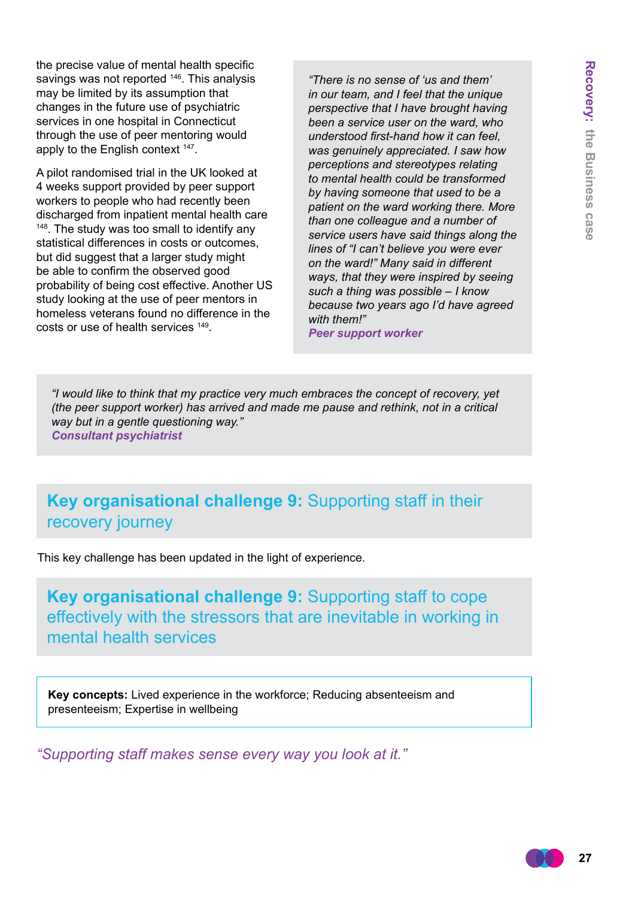the precise value of mental health specific savings was not reported <sup>146</sup>. This analysis may be limited by its assumption that changes in the future use of psychiatric services in one hospital in Connecticut through the use of peer mentoring would apply to the English context <sup>147</sup>.

A pilot randomised trial in the UK looked at 4 weeks support provided by peer support workers to people who had recently been discharged from inpatient mental health care <sup>148</sup>. The study was too small to identify any statistical differences in costs or outcomes, but did suggest that a larger study might be able to confirm the observed good probability of being cost effective. Another US study looking at the use of peer mentors in homeless veterans found no difference in the costs or use of health services 149.

*"There is no sense of 'us and them' in our team, and I feel that the unique perspective that I have brought having been a service user on the ward, who understood first-hand how it can feel, was genuinely appreciated. I saw how perceptions and stereotypes relating to mental health could be transformed by having someone that used to be a patient on the ward working there. More than one colleague and a number of service users have said things along the lines of "I can't believe you were ever on the ward!" Many said in different ways, that they were inspired by seeing such a thing was possible – I know because two years ago I'd have agreed with them!"*

*Peer support worker*

*"I would like to think that my practice very much embraces the concept of recovery, yet (the peer support worker) has arrived and made me pause and rethink, not in a critical way but in a gentle questioning way." Consultant psychiatrist*

**Key organisational challenge 9:** Supporting staff in their recovery journey

This key challenge has been updated in the light of experience.

**Key organisational challenge 9:** Supporting staff to cope effectively with the stressors that are inevitable in working in mental health services

**Key concepts:** Lived experience in the workforce; Reducing absenteeism and presenteeism; Expertise in wellbeing

*"Supporting staff makes sense every way you look at it."*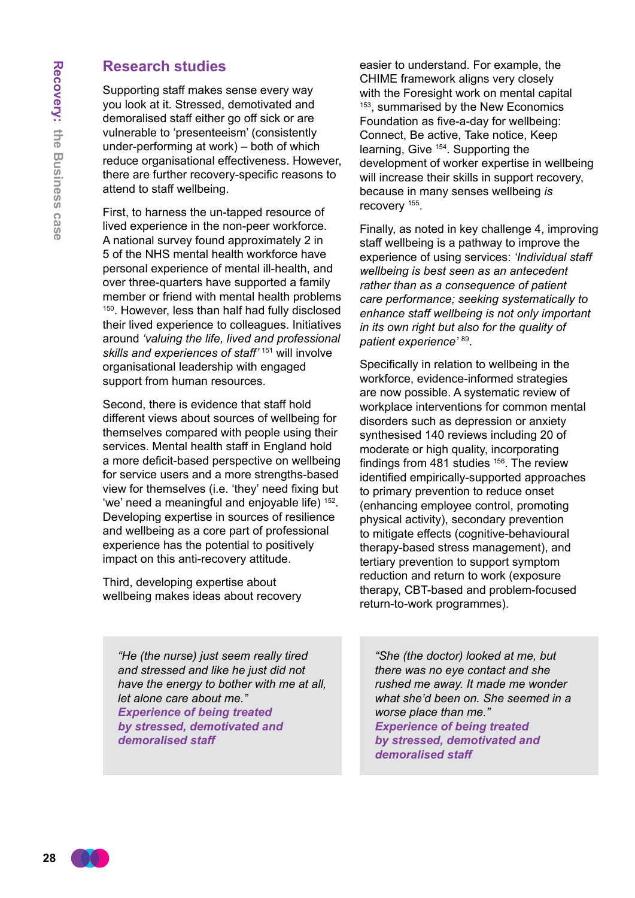### **Research studies**

Supporting staff makes sense every way you look at it. Stressed, demotivated and demoralised staff either go off sick or are vulnerable to 'presenteeism' (consistently under-performing at work) – both of which reduce organisational effectiveness. However, there are further recovery-specific reasons to attend to staff wellbeing.

First, to harness the un-tapped resource of lived experience in the non-peer workforce. A national survey found approximately 2 in 5 of the NHS mental health workforce have personal experience of mental ill-health, and over three-quarters have supported a family member or friend with mental health problems <sup>150</sup>. However, less than half had fully disclosed their lived experience to colleagues. Initiatives around *'valuing the life, lived and professional skills and experiences of staff'* 151 will involve organisational leadership with engaged support from human resources.

Second, there is evidence that staff hold different views about sources of wellbeing for themselves compared with people using their services. Mental health staff in England hold a more deficit-based perspective on wellbeing for service users and a more strengths-based view for themselves (i.e. 'they' need fixing but 'we' need a meaningful and enjoyable life) 152. Developing expertise in sources of resilience and wellbeing as a core part of professional experience has the potential to positively impact on this anti-recovery attitude.

Third, developing expertise about wellbeing makes ideas about recovery

*"He (the nurse) just seem really tired and stressed and like he just did not have the energy to bother with me at all, let alone care about me." Experience of being treated by stressed, demotivated and demoralised staff*

easier to understand. For example, the CHIME framework aligns very closely with the Foresight work on mental capital <sup>153</sup>, summarised by the New Economics Foundation as five-a-day for wellbeing: Connect, Be active, Take notice, Keep learning, Give 154. Supporting the development of worker expertise in wellbeing will increase their skills in support recovery, because in many senses wellbeing *is* recovery 155.

Finally, as noted in key challenge 4, improving staff wellbeing is a pathway to improve the experience of using services: *'Individual staff wellbeing is best seen as an antecedent rather than as a consequence of patient care performance; seeking systematically to enhance staff wellbeing is not only important in its own right but also for the quality of patient experience'* <sup>89</sup>.

Specifically in relation to wellbeing in the workforce, evidence-informed strategies are now possible. A systematic review of workplace interventions for common mental disorders such as depression or anxiety synthesised 140 reviews including 20 of moderate or high quality, incorporating findings from 481 studies  $156$ . The review identified empirically-supported approaches to primary prevention to reduce onset (enhancing employee control, promoting physical activity), secondary prevention to mitigate effects (cognitive-behavioural therapy-based stress management), and tertiary prevention to support symptom reduction and return to work (exposure therapy, CBT-based and problem-focused return-to-work programmes).

*"She (the doctor) looked at me, but there was no eye contact and she rushed me away. It made me wonder what she'd been on. She seemed in a worse place than me." Experience of being treated by stressed, demotivated and demoralised staff*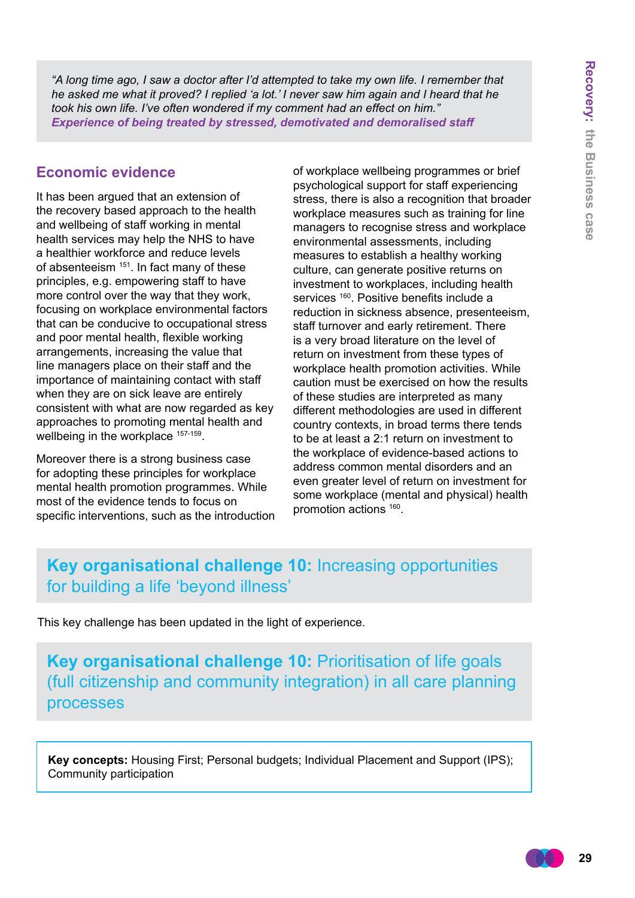*"A long time ago, I saw a doctor after I'd attempted to take my own life. I remember that he asked me what it proved? I replied 'a lot.' I never saw him again and I heard that he took his own life. I've often wondered if my comment had an effect on him." Experience of being treated by stressed, demotivated and demoralised staff*

### **Economic evidence**

It has been argued that an extension of the recovery based approach to the health and wellbeing of staff working in mental health services may help the NHS to have a healthier workforce and reduce levels of absenteeism <sup>151</sup>. In fact many of these principles, e.g. empowering staff to have more control over the way that they work, focusing on workplace environmental factors that can be conducive to occupational stress and poor mental health, flexible working arrangements, increasing the value that line managers place on their staff and the importance of maintaining contact with staff when they are on sick leave are entirely consistent with what are now regarded as key approaches to promoting mental health and wellbeing in the workplace <sup>157-159</sup>.

Moreover there is a strong business case for adopting these principles for workplace mental health promotion programmes. While most of the evidence tends to focus on specific interventions, such as the introduction of workplace wellbeing programmes or brief psychological support for staff experiencing stress, there is also a recognition that broader workplace measures such as training for line managers to recognise stress and workplace environmental assessments, including measures to establish a healthy working culture, can generate positive returns on investment to workplaces, including health services <sup>160</sup>. Positive benefits include a reduction in sickness absence, presenteeism, staff turnover and early retirement. There is a very broad literature on the level of return on investment from these types of workplace health promotion activities. While caution must be exercised on how the results of these studies are interpreted as many different methodologies are used in different country contexts, in broad terms there tends to be at least a 2:1 return on investment to the workplace of evidence-based actions to address common mental disorders and an even greater level of return on investment for some workplace (mental and physical) health promotion actions <sup>160</sup>.

# **Key organisational challenge 10:** Increasing opportunities for building a life 'beyond illness'

This key challenge has been updated in the light of experience.

**Key organisational challenge 10:** Prioritisation of life goals (full citizenship and community integration) in all care planning processes

**Key concepts:** Housing First; Personal budgets; Individual Placement and Support (IPS); Community participation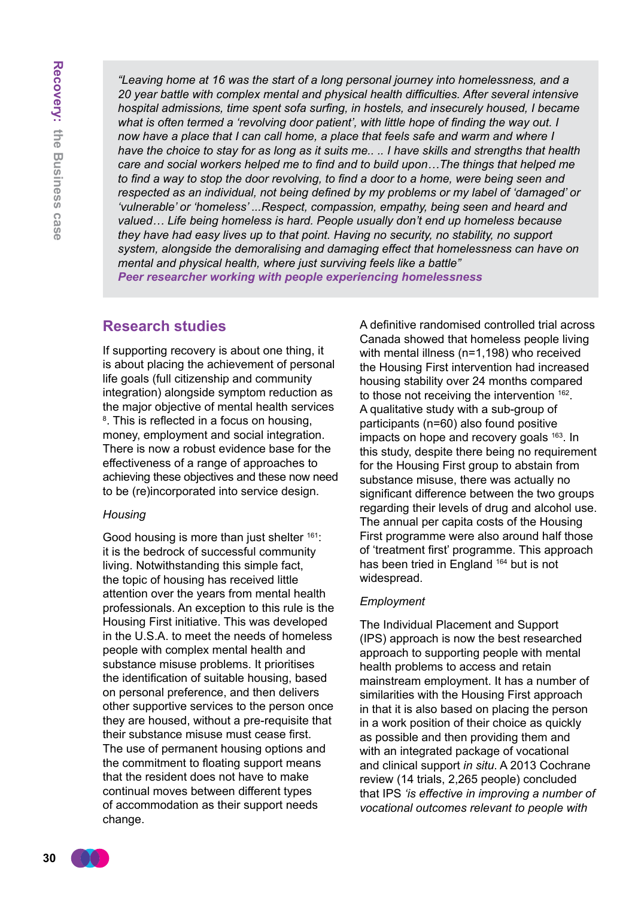*"Leaving home at 16 was the start of a long personal journey into homelessness, and a 20 year battle with complex mental and physical health difficulties. After several intensive hospital admissions, time spent sofa surfing, in hostels, and insecurely housed, I became what is often termed a 'revolving door patient', with little hope of finding the way out. I now have a place that I can call home, a place that feels safe and warm and where I have the choice to stay for as long as it suits me.. .. I have skills and strengths that health care and social workers helped me to find and to build upon…The things that helped me to find a way to stop the door revolving, to find a door to a home, were being seen and respected as an individual, not being defined by my problems or my label of 'damaged' or 'vulnerable' or 'homeless' ...Respect, compassion, empathy, being seen and heard and valued… Life being homeless is hard. People usually don't end up homeless because they have had easy lives up to that point. Having no security, no stability, no support system, alongside the demoralising and damaging effect that homelessness can have on mental and physical health, where just surviving feels like a battle" Peer researcher working with people experiencing homelessness*

#### **Research studies**

If supporting recovery is about one thing, it is about placing the achievement of personal life goals (full citizenship and community integration) alongside symptom reduction as the major objective of mental health services 8 . This is reflected in a focus on housing, money, employment and social integration. There is now a robust evidence base for the effectiveness of a range of approaches to achieving these objectives and these now need to be (re)incorporated into service design.

#### *Housing*

Good housing is more than just shelter <sup>161</sup>: it is the bedrock of successful community living. Notwithstanding this simple fact, the topic of housing has received little attention over the years from mental health professionals. An exception to this rule is the Housing First initiative. This was developed in the U.S.A. to meet the needs of homeless people with complex mental health and substance misuse problems. It prioritises the identification of suitable housing, based on personal preference, and then delivers other supportive services to the person once they are housed, without a pre-requisite that their substance misuse must cease first. The use of permanent housing options and the commitment to floating support means that the resident does not have to make continual moves between different types of accommodation as their support needs change.

A definitive randomised controlled trial across Canada showed that homeless people living with mental illness (n=1,198) who received the Housing First intervention had increased housing stability over 24 months compared to those not receiving the intervention <sup>162</sup>. A qualitative study with a sub-group of participants (n=60) also found positive impacts on hope and recovery goals <sup>163</sup>. In this study, despite there being no requirement for the Housing First group to abstain from substance misuse, there was actually no significant difference between the two groups regarding their levels of drug and alcohol use. The annual per capita costs of the Housing First programme were also around half those of 'treatment first' programme. This approach has been tried in England <sup>164</sup> but is not widespread.

#### *Employment*

The Individual Placement and Support (IPS) approach is now the best researched approach to supporting people with mental health problems to access and retain mainstream employment. It has a number of similarities with the Housing First approach in that it is also based on placing the person in a work position of their choice as quickly as possible and then providing them and with an integrated package of vocational and clinical support *in situ*. A 2013 Cochrane review (14 trials, 2,265 people) concluded that IPS *'is effective in improving a number of vocational outcomes relevant to people with*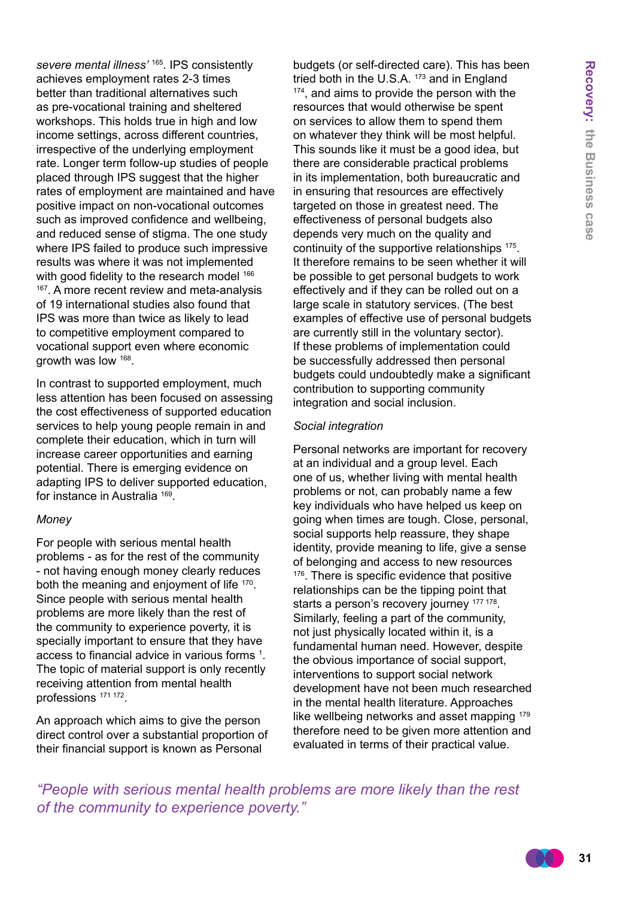*severe mental illness'* 165. IPS consistently achieves employment rates 2-3 times better than traditional alternatives such as pre-vocational training and sheltered workshops. This holds true in high and low income settings, across different countries, irrespective of the underlying employment rate. Longer term follow-up studies of people placed through IPS suggest that the higher rates of employment are maintained and have positive impact on non-vocational outcomes such as improved confidence and wellbeing, and reduced sense of stigma. The one study where IPS failed to produce such impressive results was where it was not implemented with good fidelity to the research model 166 <sup>167</sup>. A more recent review and meta-analysis of 19 international studies also found that IPS was more than twice as likely to lead to competitive employment compared to vocational support even where economic growth was low 168.

In contrast to supported employment, much less attention has been focused on assessing the cost effectiveness of supported education services to help young people remain in and complete their education, which in turn will increase career opportunities and earning potential. There is emerging evidence on adapting IPS to deliver supported education, for instance in Australia 169.

#### *Money*

For people with serious mental health problems - as for the rest of the community - not having enough money clearly reduces both the meaning and enjoyment of life <sup>170</sup>. Since people with serious mental health problems are more likely than the rest of the community to experience poverty, it is specially important to ensure that they have access to financial advice in various forms 1 . The topic of material support is only recently receiving attention from mental health professions 171 172.

An approach which aims to give the person direct control over a substantial proportion of their financial support is known as Personal

budgets (or self-directed care). This has been tried both in the U.S.A.<sup>173</sup> and in England <sup>174</sup>, and aims to provide the person with the resources that would otherwise be spent on services to allow them to spend them on whatever they think will be most helpful. This sounds like it must be a good idea, but there are considerable practical problems in its implementation, both bureaucratic and in ensuring that resources are effectively targeted on those in greatest need. The effectiveness of personal budgets also depends very much on the quality and continuity of the supportive relationships 175. It therefore remains to be seen whether it will be possible to get personal budgets to work effectively and if they can be rolled out on a large scale in statutory services. (The best examples of effective use of personal budgets are currently still in the voluntary sector). If these problems of implementation could be successfully addressed then personal budgets could undoubtedly make a significant contribution to supporting community integration and social inclusion.

#### *Social integration*

Personal networks are important for recovery at an individual and a group level. Each one of us, whether living with mental health problems or not, can probably name a few key individuals who have helped us keep on going when times are tough. Close, personal, social supports help reassure, they shape identity, provide meaning to life, give a sense of belonging and access to new resources <sup>176</sup>. There is specific evidence that positive relationships can be the tipping point that starts a person's recovery journey 177 178. Similarly, feeling a part of the community, not just physically located within it, is a fundamental human need. However, despite the obvious importance of social support, interventions to support social network development have not been much researched in the mental health literature. Approaches like wellbeing networks and asset mapping 179 therefore need to be given more attention and evaluated in terms of their practical value.

*"People with serious mental health problems are more likely than the rest of the community to experience poverty."*

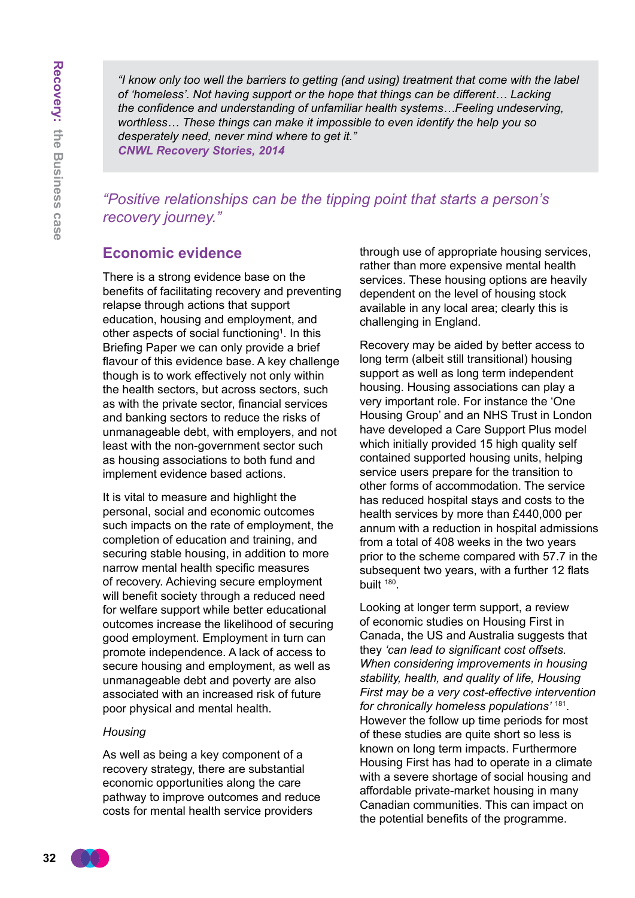*"I know only too well the barriers to getting (and using) treatment that come with the label of 'homeless'. Not having support or the hope that things can be different… Lacking the confidence and understanding of unfamiliar health systems…Feeling undeserving, worthless… These things can make it impossible to even identify the help you so desperately need, never mind where to get it." CNWL Recovery Stories, 2014*

*"Positive relationships can be the tipping point that starts a person's recovery journey."*

### **Economic evidence**

There is a strong evidence base on the benefits of facilitating recovery and preventing relapse through actions that support education, housing and employment, and other aspects of social functioning<sup>1</sup>. In this Briefing Paper we can only provide a brief flavour of this evidence base. A key challenge though is to work effectively not only within the health sectors, but across sectors, such as with the private sector, financial services and banking sectors to reduce the risks of unmanageable debt, with employers, and not least with the non-government sector such as housing associations to both fund and implement evidence based actions.

It is vital to measure and highlight the personal, social and economic outcomes such impacts on the rate of employment, the completion of education and training, and securing stable housing, in addition to more narrow mental health specific measures of recovery. Achieving secure employment will benefit society through a reduced need for welfare support while better educational outcomes increase the likelihood of securing good employment. Employment in turn can promote independence. A lack of access to secure housing and employment, as well as unmanageable debt and poverty are also associated with an increased risk of future poor physical and mental health.

#### *Housing*

As well as being a key component of a recovery strategy, there are substantial economic opportunities along the care pathway to improve outcomes and reduce costs for mental health service providers

through use of appropriate housing services, rather than more expensive mental health services. These housing options are heavily dependent on the level of housing stock available in any local area; clearly this is challenging in England.

Recovery may be aided by better access to long term (albeit still transitional) housing support as well as long term independent housing. Housing associations can play a very important role. For instance the 'One Housing Group' and an NHS Trust in London have developed a Care Support Plus model which initially provided 15 high quality self contained supported housing units, helping service users prepare for the transition to other forms of accommodation. The service has reduced hospital stays and costs to the health services by more than £440,000 per annum with a reduction in hospital admissions from a total of 408 weeks in the two years prior to the scheme compared with 57.7 in the subsequent two years, with a further 12 flats built <sup>180</sup>.

Looking at longer term support, a review of economic studies on Housing First in Canada, the US and Australia suggests that they *'can lead to significant cost offsets. When considering improvements in housing stability, health, and quality of life, Housing First may be a very cost-effective intervention for chronically homeless populations'* <sup>181</sup>. However the follow up time periods for most of these studies are quite short so less is known on long term impacts. Furthermore Housing First has had to operate in a climate with a severe shortage of social housing and affordable private-market housing in many Canadian communities. This can impact on the potential benefits of the programme.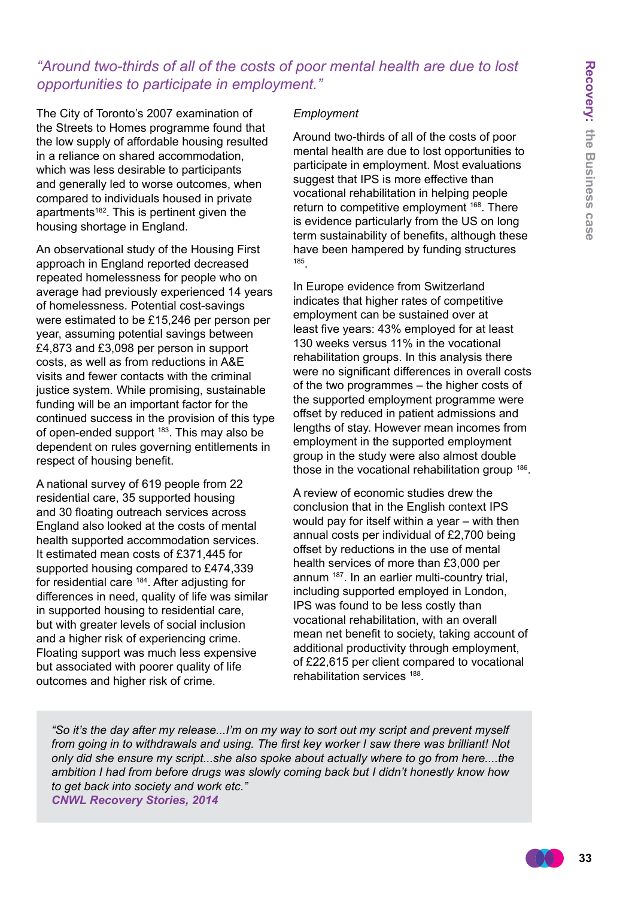### *"Around two-thirds of all of the costs of poor mental health are due to lost opportunities to participate in employment."*

The City of Toronto's 2007 examination of the Streets to Homes programme found that the low supply of affordable housing resulted in a reliance on shared accommodation, which was less desirable to participants and generally led to worse outcomes, when compared to individuals housed in private apartments<sup>182</sup>. This is pertinent given the housing shortage in England.

An observational study of the Housing First approach in England reported decreased repeated homelessness for people who on average had previously experienced 14 years of homelessness. Potential cost-savings were estimated to be £15,246 per person per year, assuming potential savings between £4,873 and £3,098 per person in support costs, as well as from reductions in A&E visits and fewer contacts with the criminal justice system. While promising, sustainable funding will be an important factor for the continued success in the provision of this type of open-ended support <sup>183</sup>. This may also be dependent on rules governing entitlements in respect of housing benefit.

A national survey of 619 people from 22 residential care, 35 supported housing and 30 floating outreach services across England also looked at the costs of mental health supported accommodation services. It estimated mean costs of £371,445 for supported housing compared to £474,339 for residential care 184. After adjusting for differences in need, quality of life was similar in supported housing to residential care, but with greater levels of social inclusion and a higher risk of experiencing crime. Floating support was much less expensive but associated with poorer quality of life outcomes and higher risk of crime.

#### *Employment*

Around two-thirds of all of the costs of poor mental health are due to lost opportunities to participate in employment. Most evaluations suggest that IPS is more effective than vocational rehabilitation in helping people return to competitive employment <sup>168</sup>. There is evidence particularly from the US on long term sustainability of benefits, although these have been hampered by funding structures <sup>185</sup>.

In Europe evidence from Switzerland indicates that higher rates of competitive employment can be sustained over at least five years: 43% employed for at least 130 weeks versus 11% in the vocational rehabilitation groups. In this analysis there were no significant differences in overall costs of the two programmes – the higher costs of the supported employment programme were offset by reduced in patient admissions and lengths of stay. However mean incomes from employment in the supported employment group in the study were also almost double those in the vocational rehabilitation group 186.

A review of economic studies drew the conclusion that in the English context IPS would pay for itself within a year – with then annual costs per individual of £2,700 being offset by reductions in the use of mental health services of more than £3,000 per annum 187. In an earlier multi-country trial, including supported employed in London, IPS was found to be less costly than vocational rehabilitation, with an overall mean net benefit to society, taking account of additional productivity through employment, of £22,615 per client compared to vocational rehabilitation services 188.

*"So it's the day after my release...I'm on my way to sort out my script and prevent myself from going in to withdrawals and using. The first key worker I saw there was brilliant! Not only did she ensure my script...she also spoke about actually where to go from here....the ambition I had from before drugs was slowly coming back but I didn't honestly know how to get back into society and work etc." CNWL Recovery Stories, 2014*

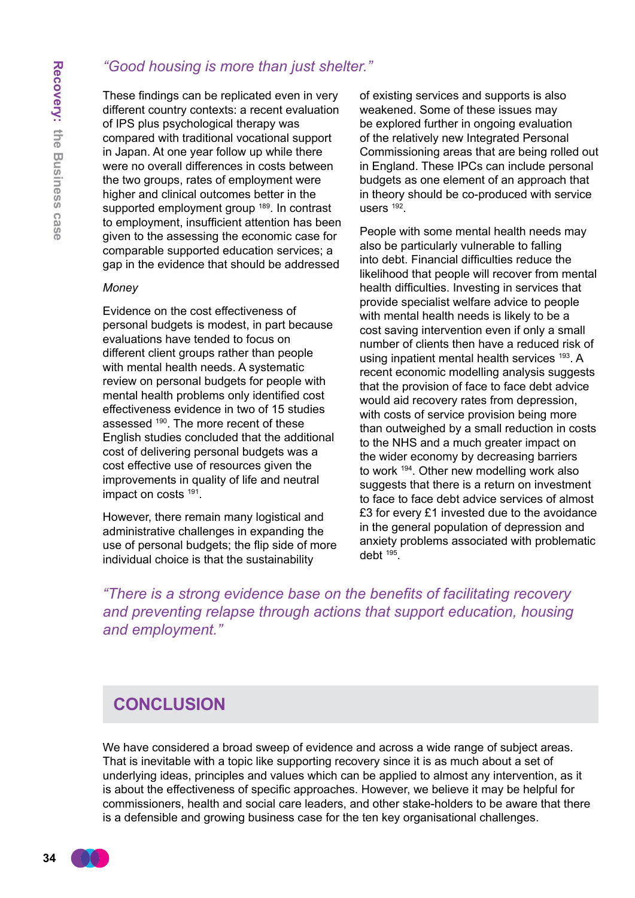### *"Good housing is more than just shelter."*

These findings can be replicated even in very different country contexts: a recent evaluation of IPS plus psychological therapy was compared with traditional vocational support in Japan. At one year follow up while there were no overall differences in costs between the two groups, rates of employment were higher and clinical outcomes better in the supported employment group <sup>189</sup>. In contrast to employment, insufficient attention has been given to the assessing the economic case for comparable supported education services; a gap in the evidence that should be addressed

#### *Money*

Evidence on the cost effectiveness of personal budgets is modest, in part because evaluations have tended to focus on different client groups rather than people with mental health needs. A systematic review on personal budgets for people with mental health problems only identified cost effectiveness evidence in two of 15 studies assessed <sup>190</sup>. The more recent of these English studies concluded that the additional cost of delivering personal budgets was a cost effective use of resources given the improvements in quality of life and neutral impact on costs <sup>191</sup>.

However, there remain many logistical and administrative challenges in expanding the use of personal budgets; the flip side of more individual choice is that the sustainability

of existing services and supports is also weakened. Some of these issues may be explored further in ongoing evaluation of the relatively new Integrated Personal Commissioning areas that are being rolled out in England. These IPCs can include personal budgets as one element of an approach that in theory should be co-produced with service users <sup>192</sup>.

People with some mental health needs may also be particularly vulnerable to falling into debt. Financial difficulties reduce the likelihood that people will recover from mental health difficulties. Investing in services that provide specialist welfare advice to people with mental health needs is likely to be a cost saving intervention even if only a small number of clients then have a reduced risk of using inpatient mental health services <sup>193</sup>. A recent economic modelling analysis suggests that the provision of face to face debt advice would aid recovery rates from depression, with costs of service provision being more than outweighed by a small reduction in costs to the NHS and a much greater impact on the wider economy by decreasing barriers to work 194. Other new modelling work also suggests that there is a return on investment to face to face debt advice services of almost £3 for every £1 invested due to the avoidance in the general population of depression and anxiety problems associated with problematic debt <sup>195</sup>.

*"There is a strong evidence base on the benefits of facilitating recovery and preventing relapse through actions that support education, housing and employment."*

## **Conclusion**

We have considered a broad sweep of evidence and across a wide range of subject areas. That is inevitable with a topic like supporting recovery since it is as much about a set of underlying ideas, principles and values which can be applied to almost any intervention, as it is about the effectiveness of specific approaches. However, we believe it may be helpful for commissioners, health and social care leaders, and other stake-holders to be aware that there is a defensible and growing business case for the ten key organisational challenges.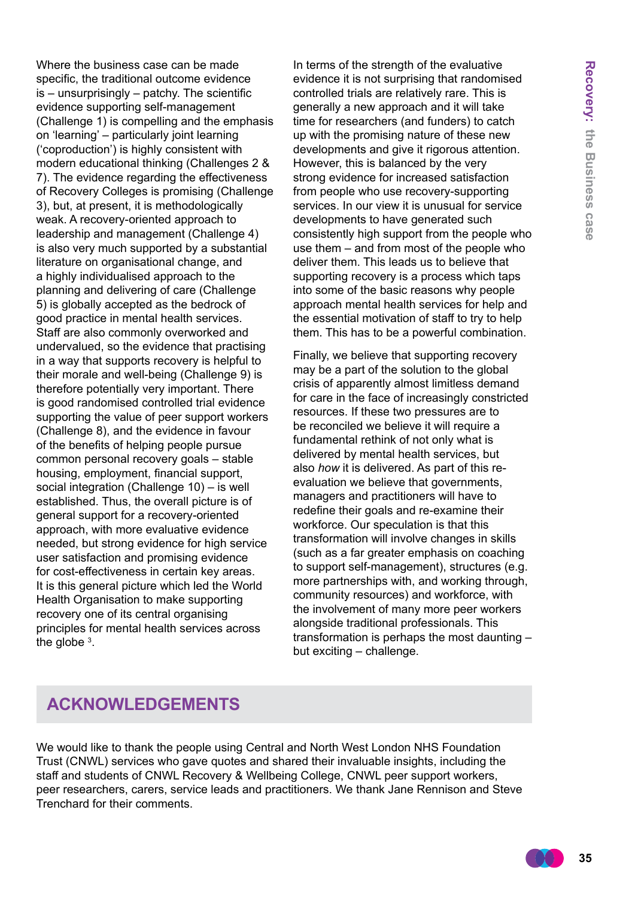Where the business case can be made specific, the traditional outcome evidence is – unsurprisingly – patchy. The scientific evidence supporting self-management (Challenge 1) is compelling and the emphasis on 'learning' – particularly joint learning ('coproduction') is highly consistent with modern educational thinking (Challenges 2 & 7). The evidence regarding the effectiveness of Recovery Colleges is promising (Challenge 3), but, at present, it is methodologically weak. A recovery-oriented approach to leadership and management (Challenge 4) is also very much supported by a substantial literature on organisational change, and a highly individualised approach to the planning and delivering of care (Challenge 5) is globally accepted as the bedrock of good practice in mental health services. Staff are also commonly overworked and undervalued, so the evidence that practising in a way that supports recovery is helpful to their morale and well-being (Challenge 9) is therefore potentially very important. There is good randomised controlled trial evidence supporting the value of peer support workers (Challenge 8), and the evidence in favour of the benefits of helping people pursue common personal recovery goals – stable housing, employment, financial support, social integration (Challenge 10) – is well established. Thus, the overall picture is of general support for a recovery-oriented approach, with more evaluative evidence needed, but strong evidence for high service user satisfaction and promising evidence for cost-effectiveness in certain key areas. It is this general picture which led the World Health Organisation to make supporting recovery one of its central organising principles for mental health services across the globe  $3$ .

In terms of the strength of the evaluative evidence it is not surprising that randomised controlled trials are relatively rare. This is generally a new approach and it will take time for researchers (and funders) to catch up with the promising nature of these new developments and give it rigorous attention. However, this is balanced by the very strong evidence for increased satisfaction from people who use recovery-supporting services. In our view it is unusual for service developments to have generated such consistently high support from the people who use them – and from most of the people who deliver them. This leads us to believe that supporting recovery is a process which taps into some of the basic reasons why people approach mental health services for help and the essential motivation of staff to try to help them. This has to be a powerful combination.

Finally, we believe that supporting recovery may be a part of the solution to the global crisis of apparently almost limitless demand for care in the face of increasingly constricted resources. If these two pressures are to be reconciled we believe it will require a fundamental rethink of not only what is delivered by mental health services, but also *how* it is delivered. As part of this reevaluation we believe that governments, managers and practitioners will have to redefine their goals and re-examine their workforce. Our speculation is that this transformation will involve changes in skills (such as a far greater emphasis on coaching to support self-management), structures (e.g. more partnerships with, and working through, community resources) and workforce, with the involvement of many more peer workers alongside traditional professionals. This transformation is perhaps the most daunting – but exciting – challenge.

# **Acknowledgements**

We would like to thank the people using Central and North West London NHS Foundation Trust (CNWL) services who gave quotes and shared their invaluable insights, including the staff and students of CNWL Recovery & Wellbeing College, CNWL peer support workers, peer researchers, carers, service leads and practitioners. We thank Jane Rennison and Steve Trenchard for their comments.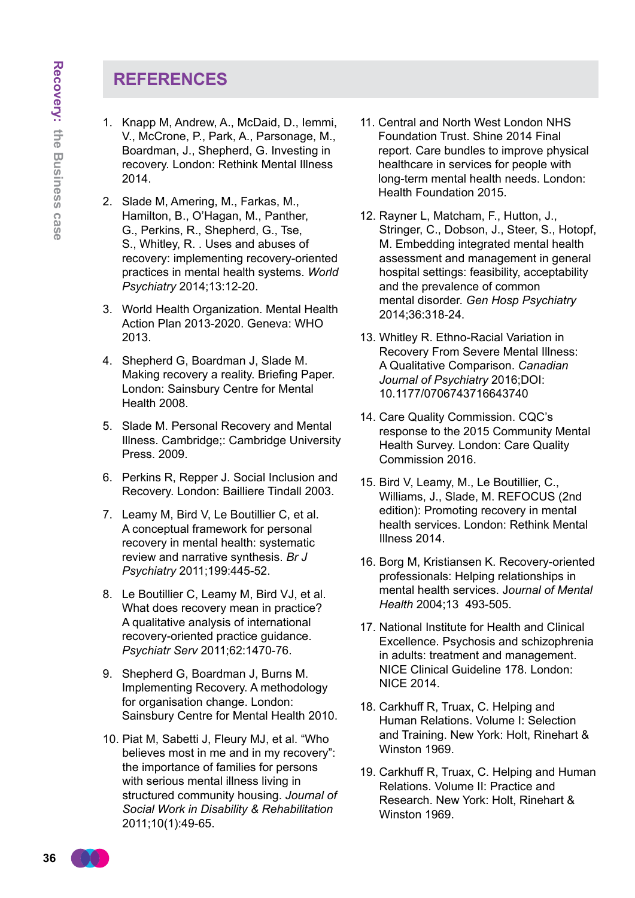# **References**

- 1. Knapp M, Andrew, A., McDaid, D., Iemmi, V., McCrone, P., Park, A., Parsonage, M., Boardman, J., Shepherd, G. Investing in recovery. London: Rethink Mental Illness 2014.
- 2. Slade M, Amering, M., Farkas, M., Hamilton, B., O'Hagan, M., Panther, G., Perkins, R., Shepherd, G., Tse, S., Whitley, R. . Uses and abuses of recovery: implementing recovery-oriented practices in mental health systems. *World Psychiatry* 2014;13:12-20.
- 3. World Health Organization. Mental Health Action Plan 2013-2020. Geneva: WHO 2013.
- 4. Shepherd G, Boardman J, Slade M. Making recovery a reality. Briefing Paper. London: Sainsbury Centre for Mental Health 2008.
- 5. Slade M. Personal Recovery and Mental Illness. Cambridge;: Cambridge University Press. 2009.
- 6. Perkins R, Repper J. Social Inclusion and Recovery. London: Bailliere Tindall 2003.
- 7. Leamy M, Bird V, Le Boutillier C, et al. A conceptual framework for personal recovery in mental health: systematic review and narrative synthesis. *Br J Psychiatry* 2011;199:445-52.
- 8. Le Boutillier C, Leamy M, Bird VJ, et al. What does recovery mean in practice? A qualitative analysis of international recovery-oriented practice guidance. *Psychiatr Serv* 2011;62:1470-76.
- 9. Shepherd G, Boardman J, Burns M. Implementing Recovery. A methodology for organisation change. London: Sainsbury Centre for Mental Health 2010.
- 10. Piat M, Sabetti J, Fleury MJ, et al. "Who believes most in me and in my recovery": the importance of families for persons with serious mental illness living in structured community housing. *Journal of Social Work in Disability & Rehabilitation* 2011;10(1):49-65.
- 11. Central and North West London NHS Foundation Trust. Shine 2014 Final report. Care bundles to improve physical healthcare in services for people with long-term mental health needs. London: Health Foundation 2015.
- 12. Rayner L, Matcham, F., Hutton, J., Stringer, C., Dobson, J., Steer, S., Hotopf, M. Embedding integrated mental health assessment and management in general hospital settings: feasibility, acceptability and the prevalence of common mental disorder. *Gen Hosp Psychiatry* 2014;36:318-24.
- 13. Whitley R. Ethno-Racial Variation in Recovery From Severe Mental Illness: A Qualitative Comparison. *Canadian Journal of Psychiatry* 2016;DOI: 10.1177/0706743716643740
- 14. Care Quality Commission. CQC's response to the 2015 Community Mental Health Survey. London: Care Quality Commission 2016.
- 15. Bird V, Leamy, M., Le Boutillier, C., Williams, J., Slade, M. REFOCUS (2nd edition): Promoting recovery in mental health services. London: Rethink Mental Illness 2014.
- 16. Borg M, Kristiansen K. Recovery-oriented professionals: Helping relationships in mental health services. J*ournal of Mental Health* 2004;13 493-505.
- 17. National Institute for Health and Clinical Excellence. Psychosis and schizophrenia in adults: treatment and management. NICE Clinical Guideline 178. London: NICE 2014.
- 18. Carkhuff R, Truax, C. Helping and Human Relations. Volume I: Selection and Training. New York: Holt, Rinehart & Winston 1969.
- 19. Carkhuff R, Truax, C. Helping and Human Relations. Volume II: Practice and Research. New York: Holt, Rinehart & Winston 1969.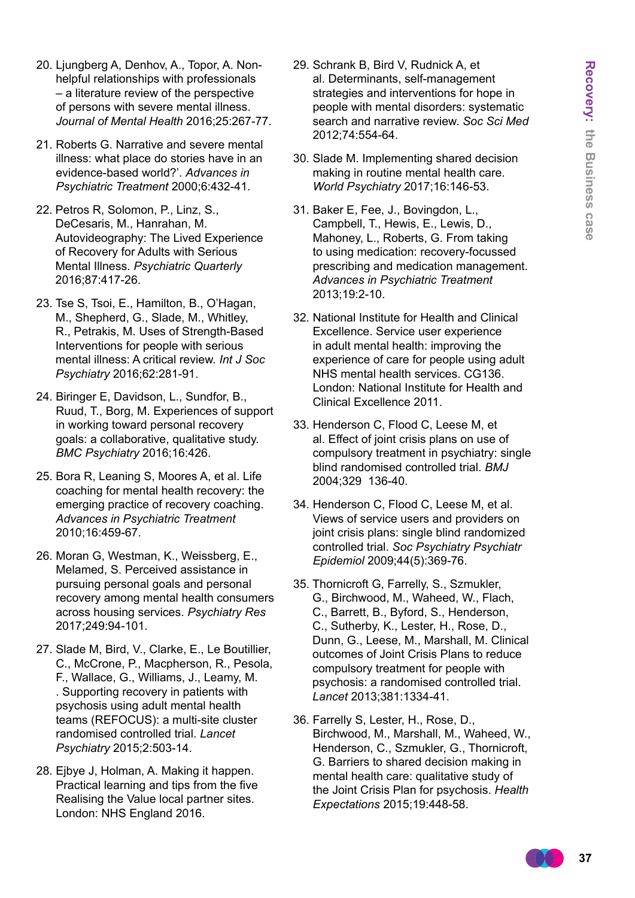- 20. Ljungberg A, Denhov, A., Topor, A. Nonhelpful relationships with professionals – a literature review of the perspective of persons with severe mental illness. *Journal of Mental Health* 2016;25:267-77.
- 21. Roberts G. Narrative and severe mental illness: what place do stories have in an evidence-based world?'. *Advances in Psychiatric Treatment* 2000;6:432-41.
- 22. Petros R, Solomon, P., Linz, S., DeCesaris, M., Hanrahan, M. Autovideography: The Lived Experience of Recovery for Adults with Serious Mental Illness. *Psychiatric Quarterly* 2016;87:417-26.
- 23. Tse S, Tsoi, E., Hamilton, B., O'Hagan, M., Shepherd, G., Slade, M., Whitley, R., Petrakis, M. Uses of Strength-Based Interventions for people with serious mental illness: A critical review. *Int J Soc Psychiatry* 2016;62:281-91.
- 24. Biringer E, Davidson, L., Sundfor, B., Ruud, T., Borg, M. Experiences of support in working toward personal recovery goals: a collaborative, qualitative study. *BMC Psychiatry* 2016;16:426.
- 25. Bora R, Leaning S, Moores A, et al. Life coaching for mental health recovery: the emerging practice of recovery coaching. *Advances in Psychiatric Treatment* 2010;16:459-67.
- 26. Moran G, Westman, K., Weissberg, E., Melamed, S. Perceived assistance in pursuing personal goals and personal recovery among mental health consumers across housing services. *Psychiatry Res* 2017;249:94-101.
- 27. Slade M, Bird, V., Clarke, E., Le Boutillier, C., McCrone, P., Macpherson, R., Pesola, F., Wallace, G., Williams, J., Leamy, M. . Supporting recovery in patients with psychosis using adult mental health teams (REFOCUS): a multi-site cluster randomised controlled trial. *Lancet Psychiatry* 2015;2:503-14.
- 28. Ejbye J, Holman, A. Making it happen. Practical learning and tips from the five Realising the Value local partner sites. London: NHS England 2016.
- 29. Schrank B, Bird V, Rudnick A, et al. Determinants, self-management strategies and interventions for hope in people with mental disorders: systematic search and narrative review. *Soc Sci Med* 2012;74:554-64.
- 30. Slade M. Implementing shared decision making in routine mental health care. *World Psychiatry* 2017;16:146-53.
- 31. Baker E, Fee, J., Bovingdon, L., Campbell, T., Hewis, E., Lewis, D., Mahoney, L., Roberts, G. From taking to using medication: recovery-focussed prescribing and medication management. *Advances in Psychiatric Treatment* 2013;19:2-10.
- 32. National Institute for Health and Clinical Excellence. Service user experience in adult mental health: improving the experience of care for people using adult NHS mental health services. CG136. London: National Institute for Health and Clinical Excellence 2011.
- 33. Henderson C, Flood C, Leese M, et al. Effect of joint crisis plans on use of compulsory treatment in psychiatry: single blind randomised controlled trial. *BMJ* 2004;329 136-40.
- 34. Henderson C, Flood C, Leese M, et al. Views of service users and providers on joint crisis plans: single blind randomized controlled trial. *Soc Psychiatry Psychiatr Epidemiol* 2009;44(5):369-76.
- 35. Thornicroft G, Farrelly, S., Szmukler, G., Birchwood, M., Waheed, W., Flach, C., Barrett, B., Byford, S., Henderson, C., Sutherby, K., Lester, H., Rose, D., Dunn, G., Leese, M., Marshall, M. Clinical outcomes of Joint Crisis Plans to reduce compulsory treatment for people with psychosis: a randomised controlled trial. *Lancet* 2013;381:1334-41.
- 36. Farrelly S, Lester, H., Rose, D., Birchwood, M., Marshall, M., Waheed, W., Henderson, C., Szmukler, G., Thornicroft, G. Barriers to shared decision making in mental health care: qualitative study of the Joint Crisis Plan for psychosis. *Health Expectations* 2015;19:448-58.

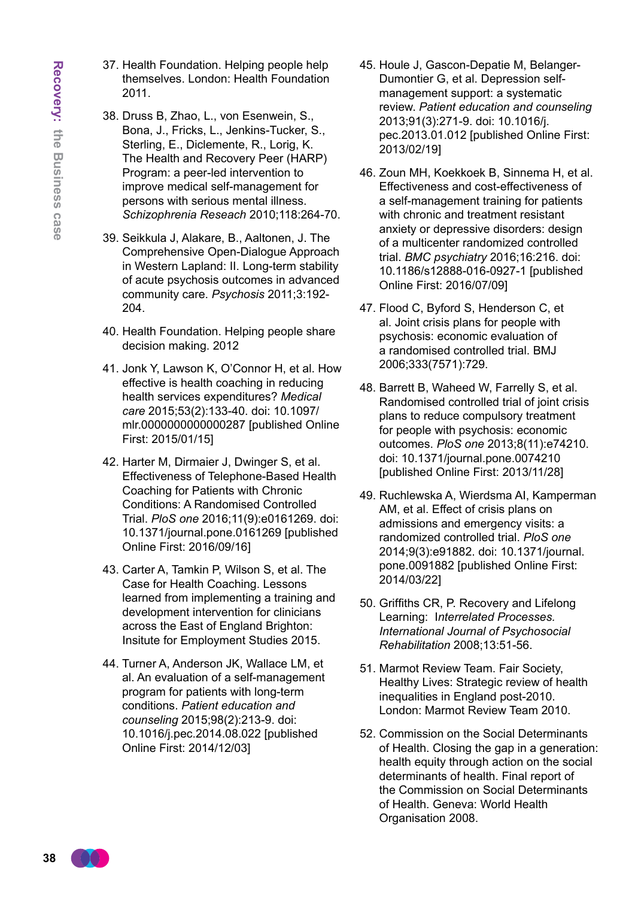- 37. Health Foundation. Helping people help themselves. London: Health Foundation 2011.
- 38. Druss B, Zhao, L., von Esenwein, S., Bona, J., Fricks, L., Jenkins-Tucker, S., Sterling, E., Diclemente, R., Lorig, K. The Health and Recovery Peer (HARP) Program: a peer-led intervention to improve medical self-management for persons with serious mental illness. *Schizophrenia Reseach* 2010;118:264-70.
- 39. Seikkula J, Alakare, B., Aaltonen, J. The Comprehensive Open-Dialogue Approach in Western Lapland: II. Long-term stability of acute psychosis outcomes in advanced community care. *Psychosis* 2011;3:192- 204.
- 40. Health Foundation. Helping people share decision making. 2012
- 41. Jonk Y, Lawson K, O'Connor H, et al. How effective is health coaching in reducing health services expenditures? *Medical care* 2015;53(2):133-40. doi: 10.1097/ mlr.0000000000000287 [published Online First: 2015/01/15]
- 42. Harter M, Dirmaier J, Dwinger S, et al. Effectiveness of Telephone-Based Health Coaching for Patients with Chronic Conditions: A Randomised Controlled Trial. *PloS one* 2016;11(9):e0161269. doi: 10.1371/journal.pone.0161269 [published Online First: 2016/09/16]
- 43. Carter A, Tamkin P, Wilson S, et al. The Case for Health Coaching. Lessons learned from implementing a training and development intervention for clinicians across the East of England Brighton: Insitute for Employment Studies 2015.
- 44. Turner A, Anderson JK, Wallace LM, et al. An evaluation of a self-management program for patients with long-term conditions. *Patient education and counseling* 2015;98(2):213-9. doi: 10.1016/j.pec.2014.08.022 [published Online First: 2014/12/03]
- 45. Houle J, Gascon-Depatie M, Belanger-Dumontier G, et al. Depression selfmanagement support: a systematic review. *Patient education and counseling* 2013;91(3):271-9. doi: 10.1016/j. pec.2013.01.012 [published Online First: 2013/02/19]
- 46. Zoun MH, Koekkoek B, Sinnema H, et al. Effectiveness and cost-effectiveness of a self-management training for patients with chronic and treatment resistant anxiety or depressive disorders: design of a multicenter randomized controlled trial. *BMC psychiatry* 2016;16:216. doi: 10.1186/s12888-016-0927-1 [published Online First: 2016/07/09]
- 47. Flood C, Byford S, Henderson C, et al. Joint crisis plans for people with psychosis: economic evaluation of a randomised controlled trial. BMJ 2006;333(7571):729.
- 48. Barrett B, Waheed W, Farrelly S, et al. Randomised controlled trial of joint crisis plans to reduce compulsory treatment for people with psychosis: economic outcomes. *PloS one* 2013;8(11):e74210. doi: 10.1371/journal.pone.0074210 [published Online First: 2013/11/28]
- 49. Ruchlewska A, Wierdsma AI, Kamperman AM, et al. Effect of crisis plans on admissions and emergency visits: a randomized controlled trial. *PloS one* 2014;9(3):e91882. doi: 10.1371/journal. pone.0091882 [published Online First: 2014/03/22]
- 50. Griffiths CR, P. Recovery and Lifelong Learning: I*nterrelated Processes. International Journal of Psychosocial Rehabilitation* 2008;13:51-56.
- 51. Marmot Review Team. Fair Society, Healthy Lives: Strategic review of health inequalities in England post-2010. London: Marmot Review Team 2010.
- 52. Commission on the Social Determinants of Health. Closing the gap in a generation: health equity through action on the social determinants of health. Final report of the Commission on Social Determinants of Health. Geneva: World Health Organisation 2008.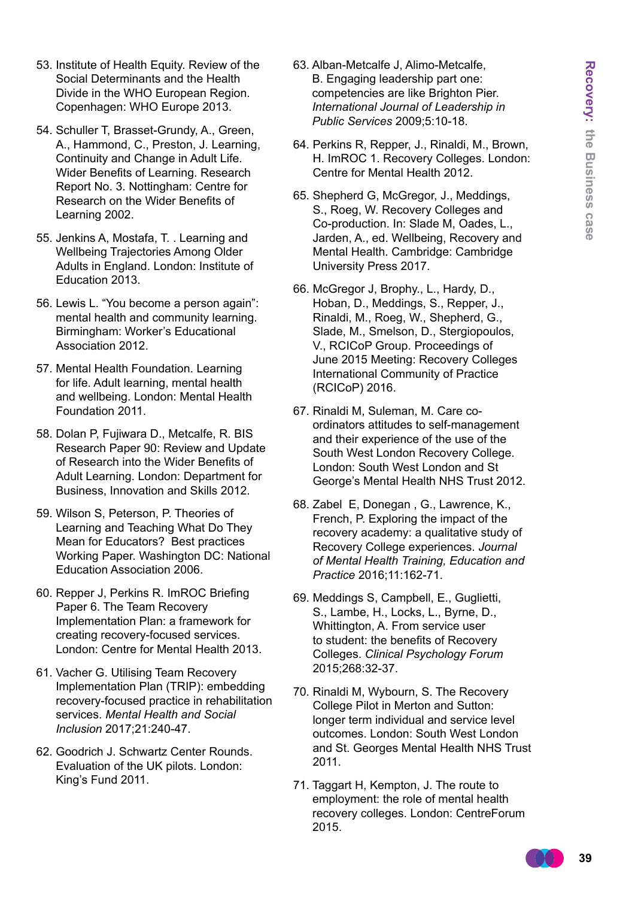- 53. Institute of Health Equity. Review of the Social Determinants and the Health Divide in the WHO European Region. Copenhagen: WHO Europe 2013.
- 54. Schuller T, Brasset-Grundy, A., Green, A., Hammond, C., Preston, J. Learning, Continuity and Change in Adult Life. Wider Benefits of Learning. Research Report No. 3. Nottingham: Centre for Research on the Wider Benefits of Learning 2002.
- 55. Jenkins A, Mostafa, T. . Learning and Wellbeing Trajectories Among Older Adults in England. London: Institute of Education 2013.
- 56. Lewis L. "You become a person again": mental health and community learning. Birmingham: Worker's Educational Association 2012.
- 57. Mental Health Foundation. Learning for life. Adult learning, mental health and wellbeing. London: Mental Health Foundation 2011.
- 58. Dolan P, Fujiwara D., Metcalfe, R. BIS Research Paper 90: Review and Update of Research into the Wider Benefits of Adult Learning. London: Department for Business, Innovation and Skills 2012.
- 59. Wilson S, Peterson, P. Theories of Learning and Teaching What Do They Mean for Educators? Best practices Working Paper. Washington DC: National Education Association 2006.
- 60. Repper J, Perkins R. ImROC Briefing Paper 6. The Team Recovery Implementation Plan: a framework for creating recovery-focused services. London: Centre for Mental Health 2013.
- 61. Vacher G. Utilising Team Recovery Implementation Plan (TRIP): embedding recovery-focused practice in rehabilitation services. *Mental Health and Social Inclusion* 2017;21:240-47.
- 62. Goodrich J. Schwartz Center Rounds. Evaluation of the UK pilots. London: King's Fund 2011.
- 63. Alban-Metcalfe J, Alimo-Metcalfe, B. Engaging leadership part one: competencies are like Brighton Pier. *International Journal of Leadership in Public Services* 2009;5:10-18.
- 64. Perkins R, Repper, J., Rinaldi, M., Brown, H. ImROC 1. Recovery Colleges. London: Centre for Mental Health 2012.
- 65. Shepherd G, McGregor, J., Meddings, S., Roeg, W. Recovery Colleges and Co-production. In: Slade M, Oades, L., Jarden, A., ed. Wellbeing, Recovery and Mental Health. Cambridge: Cambridge University Press 2017.
- 66. McGregor J, Brophy., L., Hardy, D., Hoban, D., Meddings, S., Repper, J., Rinaldi, M., Roeg, W., Shepherd, G., Slade, M., Smelson, D., Stergiopoulos, V., RCICoP Group. Proceedings of June 2015 Meeting: Recovery Colleges International Community of Practice (RCICoP) 2016.
- 67. Rinaldi M, Suleman, M. Care coordinators attitudes to self-management and their experience of the use of the South West London Recovery College. London: South West London and St George's Mental Health NHS Trust 2012.
- 68. Zabel E, Donegan , G., Lawrence, K., French, P. Exploring the impact of the recovery academy: a qualitative study of Recovery College experiences. *Journal of Mental Health Training, Education and Practice* 2016;11:162-71.
- 69. Meddings S, Campbell, E., Guglietti, S., Lambe, H., Locks, L., Byrne, D., Whittington, A. From service user to student: the benefits of Recovery Colleges. *Clinical Psychology Forum*  2015;268:32-37.
- 70. Rinaldi M, Wybourn, S. The Recovery College Pilot in Merton and Sutton: longer term individual and service level outcomes. London: South West London and St. Georges Mental Health NHS Trust 2011.
- 71. Taggart H, Kempton, J. The route to employment: the role of mental health recovery colleges. London: CentreForum 2015.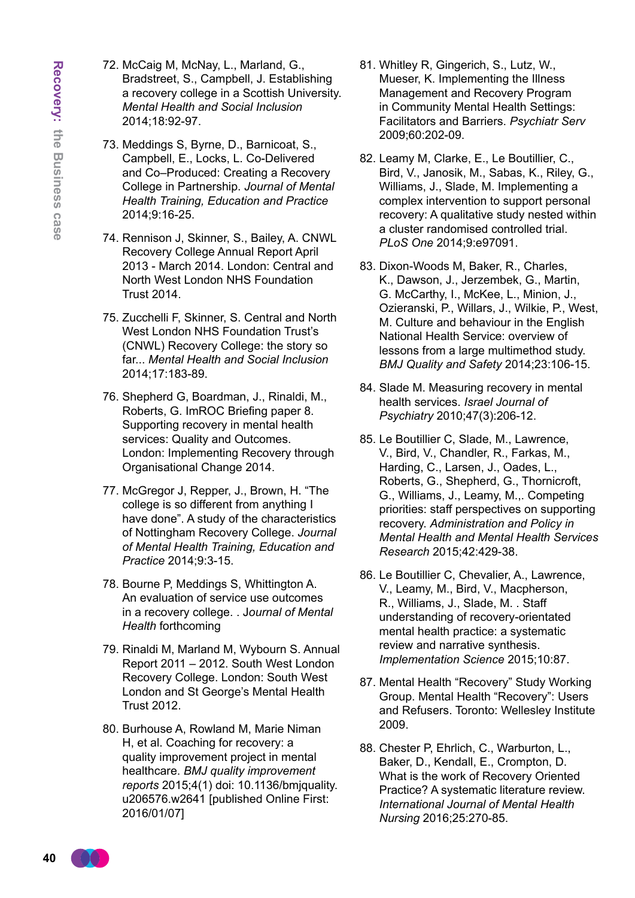- 72. McCaig M, McNay, L., Marland, G., Bradstreet, S., Campbell, J. Establishing a recovery college in a Scottish University. *Mental Health and Social Inclusion*  2014;18:92-97.
- 73. Meddings S, Byrne, D., Barnicoat, S., Campbell, E., Locks, L. Co-Delivered and Co–Produced: Creating a Recovery College in Partnership. *Journal of Mental Health Training, Education and Practice* 2014;9:16-25.
- 74. Rennison J, Skinner, S., Bailey, A. CNWL Recovery College Annual Report April 2013 - March 2014. London: Central and North West London NHS Foundation Trust 2014.
- 75. Zucchelli F, Skinner, S. Central and North West London NHS Foundation Trust's (CNWL) Recovery College: the story so far... *Mental Health and Social Inclusion* 2014;17:183-89.
- 76. Shepherd G, Boardman, J., Rinaldi, M., Roberts, G. ImROC Briefing paper 8. Supporting recovery in mental health services: Quality and Outcomes. London: Implementing Recovery through Organisational Change 2014.
- 77. McGregor J, Repper, J., Brown, H. "The college is so different from anything I have done". A study of the characteristics of Nottingham Recovery College. *Journal of Mental Health Training, Education and Practice* 2014;9:3-15.
- 78. Bourne P, Meddings S, Whittington A. An evaluation of service use outcomes in a recovery college. . J*ournal of Mental Health* forthcoming
- 79. Rinaldi M, Marland M, Wybourn S. Annual Report 2011 – 2012. South West London Recovery College. London: South West London and St George's Mental Health Trust 2012.
- 80. Burhouse A, Rowland M, Marie Niman H, et al. Coaching for recovery: a quality improvement project in mental healthcare. *BMJ quality improvement reports* 2015;4(1) doi: 10.1136/bmjquality. u206576.w2641 [published Online First: 2016/01/07]
- 81. Whitley R, Gingerich, S., Lutz, W., Mueser, K. Implementing the Illness Management and Recovery Program in Community Mental Health Settings: Facilitators and Barriers. *Psychiatr Serv*  2009;60:202-09.
- 82. Leamy M, Clarke, E., Le Boutillier, C., Bird, V., Janosik, M., Sabas, K., Riley, G., Williams, J., Slade, M. Implementing a complex intervention to support personal recovery: A qualitative study nested within a cluster randomised controlled trial. *PLoS One* 2014;9:e97091.
- 83. Dixon-Woods M, Baker, R., Charles, K., Dawson, J., Jerzembek, G., Martin, G. McCarthy, I., McKee, L., Minion, J., Ozieranski, P., Willars, J., Wilkie, P., West, M. Culture and behaviour in the English National Health Service: overview of lessons from a large multimethod study. *BMJ Quality and Safety* 2014;23:106-15.
- 84. Slade M. Measuring recovery in mental health services. *Israel Journal of Psychiatry* 2010;47(3):206-12.
- 85. Le Boutillier C, Slade, M., Lawrence, V., Bird, V., Chandler, R., Farkas, M., Harding, C., Larsen, J., Oades, L., Roberts, G., Shepherd, G., Thornicroft, G., Williams, J., Leamy, M.,. Competing priorities: staff perspectives on supporting recovery. *Administration and Policy in Mental Health and Mental Health Services Research* 2015;42:429-38.
- 86. Le Boutillier C, Chevalier, A., Lawrence, V., Leamy, M., Bird, V., Macpherson, R., Williams, J., Slade, M. . Staff understanding of recovery-orientated mental health practice: a systematic review and narrative synthesis. *Implementation Science* 2015;10:87.
- 87. Mental Health "Recovery" Study Working Group. Mental Health "Recovery": Users and Refusers. Toronto: Wellesley Institute 2009.
- 88. Chester P, Ehrlich, C., Warburton, L., Baker, D., Kendall, E., Crompton, D. What is the work of Recovery Oriented Practice? A systematic literature review. *International Journal of Mental Health Nursing* 2016;25:270-85.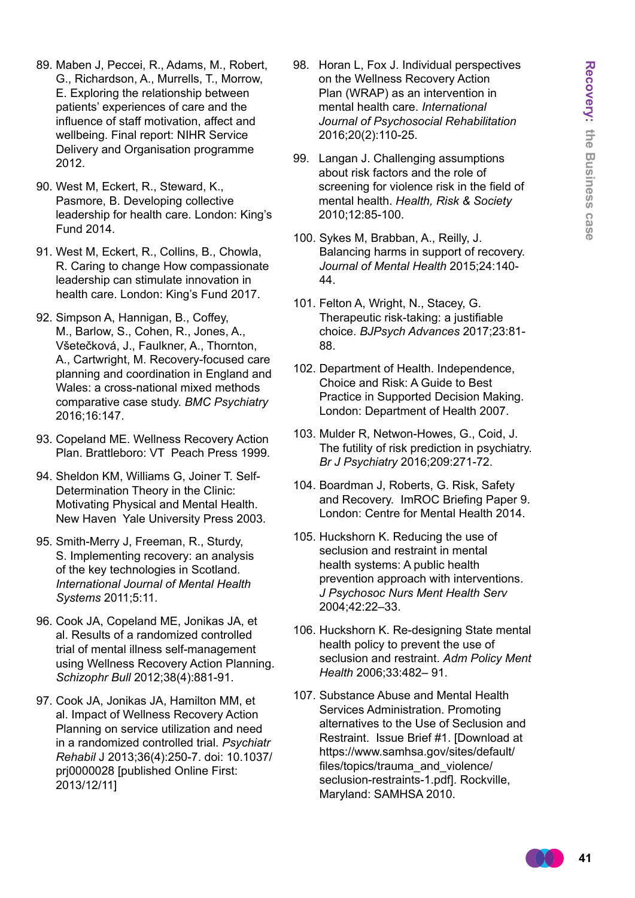- 89. Maben J, Peccei, R., Adams, M., Robert, G., Richardson, A., Murrells, T., Morrow, E. Exploring the relationship between patients' experiences of care and the influence of staff motivation, affect and wellbeing. Final report: NIHR Service Delivery and Organisation programme 2012.
- 90. West M, Eckert, R., Steward, K., Pasmore, B. Developing collective leadership for health care. London: King's Fund 2014.
- 91. West M, Eckert, R., Collins, B., Chowla, R. Caring to change How compassionate leadership can stimulate innovation in health care. London: King's Fund 2017.
- 92. Simpson A, Hannigan, B., Coffey, M., Barlow, S., Cohen, R., Jones, A., Všetečková, J., Faulkner, A., Thornton, A., Cartwright, M. Recovery-focused care planning and coordination in England and Wales: a cross-national mixed methods comparative case study. *BMC Psychiatry* 2016;16:147.
- 93. Copeland ME. Wellness Recovery Action Plan. Brattleboro: VT Peach Press 1999.
- 94. Sheldon KM, Williams G, Joiner T. Self-Determination Theory in the Clinic: Motivating Physical and Mental Health. New Haven Yale University Press 2003.
- 95. Smith-Merry J, Freeman, R., Sturdy, S. Implementing recovery: an analysis of the key technologies in Scotland. *International Journal of Mental Health Systems* 2011;5:11.
- 96. Cook JA, Copeland ME, Jonikas JA, et al. Results of a randomized controlled trial of mental illness self-management using Wellness Recovery Action Planning. *Schizophr Bull* 2012;38(4):881-91.
- 97. Cook JA, Jonikas JA, Hamilton MM, et al. Impact of Wellness Recovery Action Planning on service utilization and need in a randomized controlled trial. *Psychiatr Rehabil* J 2013;36(4):250-7. doi: 10.1037/ prj0000028 [published Online First: 2013/12/11]
- 98. Horan L, Fox J. Individual perspectives on the Wellness Recovery Action Plan (WRAP) as an intervention in mental health care. *International Journal of Psychosocial Rehabilitation* 2016;20(2):110-25.
- 99. Langan J. Challenging assumptions about risk factors and the role of screening for violence risk in the field of mental health. *Health, Risk & Society* 2010;12:85-100.
- 100. Sykes M, Brabban, A., Reilly, J. Balancing harms in support of recovery. *Journal of Mental Health* 2015;24:140- 44.
- 101. Felton A, Wright, N., Stacey, G. Therapeutic risk-taking: a justifiable choice. *BJPsych Advances* 2017;23:81- 88.
- 102. Department of Health. Independence, Choice and Risk: A Guide to Best Practice in Supported Decision Making. London: Department of Health 2007.
- 103. Mulder R, Netwon-Howes, G., Coid, J. The futility of risk prediction in psychiatry. *Br J Psychiatry* 2016;209:271-72.
- 104. Boardman J, Roberts, G. Risk, Safety and Recovery. ImROC Briefing Paper 9. London: Centre for Mental Health 2014.
- 105. Huckshorn K. Reducing the use of seclusion and restraint in mental health systems: A public health prevention approach with interventions. *J Psychosoc Nurs Ment Health Serv* 2004;42:22–33.
- 106. Huckshorn K. Re-designing State mental health policy to prevent the use of seclusion and restraint. *Adm Policy Ment Health* 2006;33:482– 91.
- 107. Substance Abuse and Mental Health Services Administration. Promoting alternatives to the Use of Seclusion and Restraint. Issue Brief #1. [Download at https://www.samhsa.gov/sites/default/ files/topics/trauma\_and\_violence/ seclusion-restraints-1.pdf]. Rockville, Maryland: SAMHSA 2010.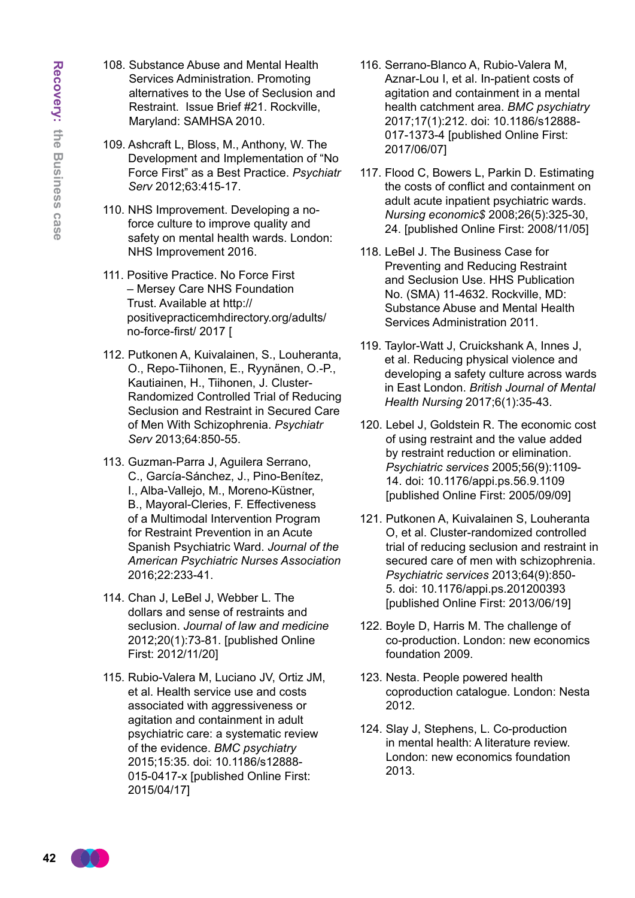- 108. Substance Abuse and Mental Health Services Administration. Promoting alternatives to the Use of Seclusion and Restraint. Issue Brief #21. Rockville, Maryland: SAMHSA 2010.
- 109. Ashcraft L, Bloss, M., Anthony, W. The Development and Implementation of "No Force First" as a Best Practice. *Psychiatr Serv* 2012;63:415-17.
- 110. NHS Improvement. Developing a noforce culture to improve quality and safety on mental health wards. London: NHS Improvement 2016.
- 111. Positive Practice. No Force First – Mersey Care NHS Foundation Trust. Available at http:// positivepracticemhdirectory.org/adults/ no-force-first/ 2017 [
- 112. Putkonen A, Kuivalainen, S., Louheranta, O., Repo-Tiihonen, E., Ryynänen, O.-P., Kautiainen, H., Tiihonen, J. Cluster-Randomized Controlled Trial of Reducing Seclusion and Restraint in Secured Care of Men With Schizophrenia. *Psychiatr Serv* 2013;64:850-55.
- 113. Guzman-Parra J, Aguilera Serrano, C., García-Sánchez, J., Pino-Benítez, I., Alba-Vallejo, M., Moreno-Küstner, B., Mayoral-Cleries, F. Effectiveness of a Multimodal Intervention Program for Restraint Prevention in an Acute Spanish Psychiatric Ward. *Journal of the American Psychiatric Nurses Association*  2016;22:233-41.
- 114. Chan J, LeBel J, Webber L. The dollars and sense of restraints and seclusion. *Journal of law and medicine* 2012;20(1):73-81. [published Online First: 2012/11/20]
- 115. Rubio-Valera M, Luciano JV, Ortiz JM, et al. Health service use and costs associated with aggressiveness or agitation and containment in adult psychiatric care: a systematic review of the evidence. *BMC psychiatry* 2015;15:35. doi: 10.1186/s12888- 015-0417-x [published Online First: 2015/04/17]
- 116. Serrano-Blanco A, Rubio-Valera M, Aznar-Lou I, et al. In-patient costs of agitation and containment in a mental health catchment area. *BMC psychiatry* 2017;17(1):212. doi: 10.1186/s12888- 017-1373-4 [published Online First: 2017/06/07]
- 117. Flood C, Bowers L, Parkin D. Estimating the costs of conflict and containment on adult acute inpatient psychiatric wards. *Nursing economic\$* 2008;26(5):325-30, 24. [published Online First: 2008/11/05]
- 118. LeBel J. The Business Case for Preventing and Reducing Restraint and Seclusion Use. HHS Publication No. (SMA) 11-4632. Rockville, MD: Substance Abuse and Mental Health Services Administration 2011.
- 119. Taylor-Watt J, Cruickshank A, Innes J, et al. Reducing physical violence and developing a safety culture across wards in East London. *British Journal of Mental Health Nursing* 2017;6(1):35-43.
- 120. Lebel J, Goldstein R. The economic cost of using restraint and the value added by restraint reduction or elimination. *Psychiatric services* 2005;56(9):1109- 14. doi: 10.1176/appi.ps.56.9.1109 [published Online First: 2005/09/09]
- 121. Putkonen A, Kuivalainen S, Louheranta O, et al. Cluster-randomized controlled trial of reducing seclusion and restraint in secured care of men with schizophrenia. *Psychiatric services* 2013;64(9):850- 5. doi: 10.1176/appi.ps.201200393 [published Online First: 2013/06/19]
- 122. Boyle D, Harris M. The challenge of co-production. London: new economics foundation 2009.
- 123. Nesta. People powered health coproduction catalogue. London: Nesta 2012.
- 124. Slay J, Stephens, L. Co-production in mental health: A literature review. London: new economics foundation 2013.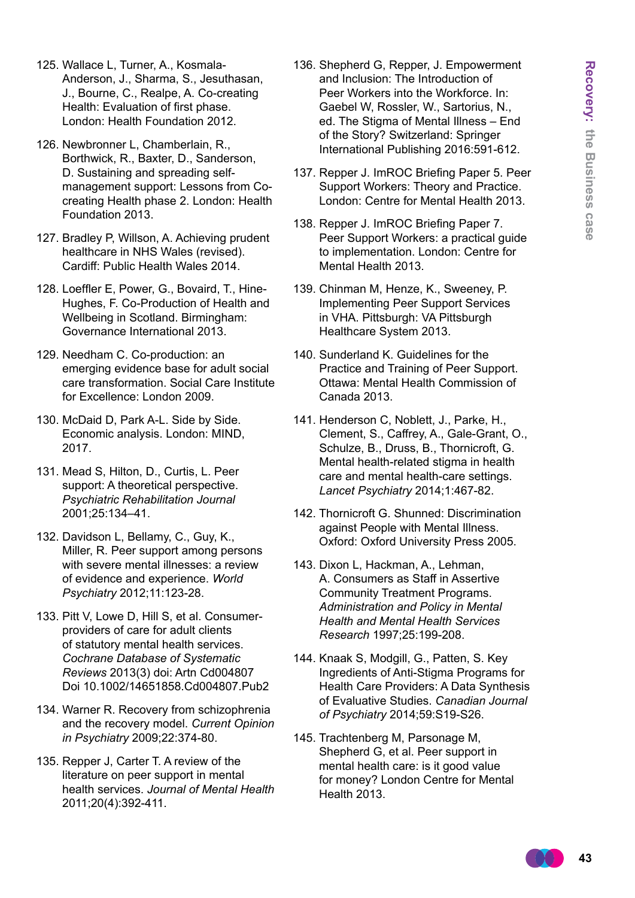- 125. Wallace L, Turner, A., Kosmala-Anderson, J., Sharma, S., Jesuthasan, J., Bourne, C., Realpe, A. Co-creating Health: Evaluation of first phase. London: Health Foundation 2012.
- 126. Newbronner L, Chamberlain, R., Borthwick, R., Baxter, D., Sanderson, D. Sustaining and spreading selfmanagement support: Lessons from Cocreating Health phase 2. London: Health Foundation 2013.
- 127. Bradley P, Willson, A. Achieving prudent healthcare in NHS Wales (revised). Cardiff: Public Health Wales 2014.
- 128. Loeffler E, Power, G., Bovaird, T., Hine-Hughes, F. Co-Production of Health and Wellbeing in Scotland. Birmingham: Governance International 2013.
- 129. Needham C. Co-production: an emerging evidence base for adult social care transformation. Social Care Institute for Excellence: London 2009.
- 130. McDaid D, Park A-L. Side by Side. Economic analysis. London: MIND, 2017.
- 131. Mead S, Hilton, D., Curtis, L. Peer support: A theoretical perspective. *Psychiatric Rehabilitation Journal* 2001;25:134–41.
- 132. Davidson L, Bellamy, C., Guy, K., Miller, R. Peer support among persons with severe mental illnesses: a review of evidence and experience. *World Psychiatry* 2012;11:123-28.
- 133. Pitt V, Lowe D, Hill S, et al. Consumerproviders of care for adult clients of statutory mental health services. *Cochrane Database of Systematic Reviews* 2013(3) doi: Artn Cd004807 Doi 10.1002/14651858.Cd004807.Pub2
- 134. Warner R. Recovery from schizophrenia and the recovery model. *Current Opinion in Psychiatry* 2009;22:374-80.
- 135. Repper J, Carter T. A review of the literature on peer support in mental health services. *Journal of Mental Health* 2011;20(4):392-411.
- 136. Shepherd G, Repper, J. Empowerment and Inclusion: The Introduction of Peer Workers into the Workforce. In: Gaebel W, Rossler, W., Sartorius, N., ed. The Stigma of Mental Illness – End of the Story? Switzerland: Springer International Publishing 2016:591-612.
- 137. Repper J. ImROC Briefing Paper 5. Peer Support Workers: Theory and Practice. London: Centre for Mental Health 2013.
- 138. Repper J. ImROC Briefing Paper 7. Peer Support Workers: a practical guide to implementation. London: Centre for Mental Health 2013.
- 139. Chinman M, Henze, K., Sweeney, P. Implementing Peer Support Services in VHA. Pittsburgh: VA Pittsburgh Healthcare System 2013.
- 140. Sunderland K. Guidelines for the Practice and Training of Peer Support. Ottawa: Mental Health Commission of Canada 2013.
- 141. Henderson C, Noblett, J., Parke, H., Clement, S., Caffrey, A., Gale-Grant, O., Schulze, B., Druss, B., Thornicroft, G. Mental health-related stigma in health care and mental health-care settings. *Lancet Psychiatry* 2014;1:467-82.
- 142. Thornicroft G. Shunned: Discrimination against People with Mental Illness. Oxford: Oxford University Press 2005.
- 143. Dixon L, Hackman, A., Lehman, A. Consumers as Staff in Assertive Community Treatment Programs. *Administration and Policy in Mental Health and Mental Health Services Research* 1997;25:199-208.
- 144. Knaak S, Modgill, G., Patten, S. Key Ingredients of Anti-Stigma Programs for Health Care Providers: A Data Synthesis of Evaluative Studies. *Canadian Journal of Psychiatry* 2014;59:S19-S26.
- 145. Trachtenberg M, Parsonage M, Shepherd G, et al. Peer support in mental health care: is it good value for money? London Centre for Mental Health 2013.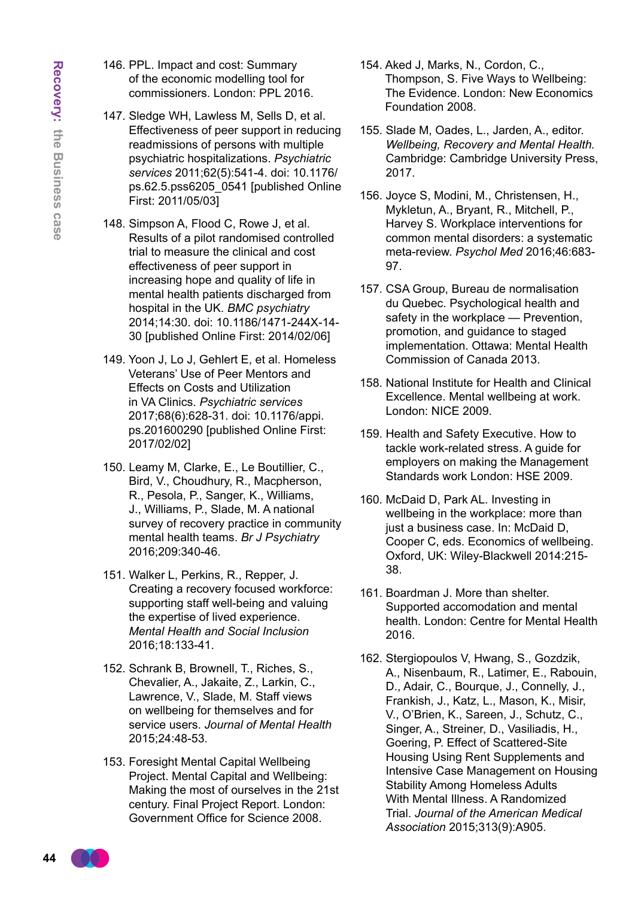- 146. PPL. Impact and cost: Summary of the economic modelling tool for commissioners. London: PPL 2016.
- 147. Sledge WH, Lawless M, Sells D, et al. Effectiveness of peer support in reducing readmissions of persons with multiple psychiatric hospitalizations. *Psychiatric services* 2011;62(5):541-4. doi: 10.1176/ ps.62.5.pss6205\_0541 [published Online First: 2011/05/03]
- 148. Simpson A, Flood C, Rowe J, et al. Results of a pilot randomised controlled trial to measure the clinical and cost effectiveness of peer support in increasing hope and quality of life in mental health patients discharged from hospital in the UK. *BMC psychiatry* 2014;14:30. doi: 10.1186/1471-244X-14- 30 [published Online First: 2014/02/06]
- 149. Yoon J, Lo J, Gehlert E, et al. Homeless Veterans' Use of Peer Mentors and Effects on Costs and Utilization in VA Clinics. *Psychiatric services* 2017;68(6):628-31. doi: 10.1176/appi. ps.201600290 [published Online First: 2017/02/02]
- 150. Leamy M, Clarke, E., Le Boutillier, C., Bird, V., Choudhury, R., Macpherson, R., Pesola, P., Sanger, K., Williams, J., Williams, P., Slade, M. A national survey of recovery practice in community mental health teams. *Br J Psychiatry* 2016;209:340-46.
- 151. Walker L, Perkins, R., Repper, J. Creating a recovery focused workforce: supporting staff well-being and valuing the expertise of lived experience. *Mental Health and Social Inclusion* 2016;18:133-41.
- 152. Schrank B, Brownell, T., Riches, S., Chevalier, A., Jakaite, Z., Larkin, C., Lawrence, V., Slade, M. Staff views on wellbeing for themselves and for service users. *Journal of Mental Health* 2015;24:48-53.
- 153. Foresight Mental Capital Wellbeing Project. Mental Capital and Wellbeing: Making the most of ourselves in the 21st century. Final Project Report. London: Government Office for Science 2008.
- 154. Aked J, Marks, N., Cordon, C., Thompson, S. Five Ways to Wellbeing: The Evidence. London: New Economics Foundation 2008.
- 155. Slade M, Oades, L., Jarden, A., editor. *Wellbeing, Recovery and Mental Health.* Cambridge: Cambridge University Press, 2017.
- 156. Joyce S, Modini, M., Christensen, H., Mykletun, A., Bryant, R., Mitchell, P., Harvey S. Workplace interventions for common mental disorders: a systematic meta-review. *Psychol Med* 2016;46:683- 97.
- 157. CSA Group, Bureau de normalisation du Quebec. Psychological health and safety in the workplace — Prevention, promotion, and guidance to staged implementation. Ottawa: Mental Health Commission of Canada 2013.
- 158. National Institute for Health and Clinical Excellence. Mental wellbeing at work. London: NICE 2009.
- 159. Health and Safety Executive. How to tackle work-related stress. A guide for employers on making the Management Standards work London: HSF 2009.
- 160. McDaid D, Park AL. Investing in wellbeing in the workplace: more than just a business case. In: McDaid D, Cooper C, eds. Economics of wellbeing. Oxford, UK: Wiley-Blackwell 2014:215- 38.
- 161. Boardman J. More than shelter. Supported accomodation and mental health. London: Centre for Mental Health 2016.
- 162. Stergiopoulos V, Hwang, S., Gozdzik, A., Nisenbaum, R., Latimer, E., Rabouin, D., Adair, C., Bourque, J., Connelly, J., Frankish, J., Katz, L., Mason, K., Misir, V., O'Brien, K., Sareen, J., Schutz, C., Singer, A., Streiner, D., Vasiliadis, H., Goering, P. Effect of Scattered-Site Housing Using Rent Supplements and Intensive Case Management on Housing Stability Among Homeless Adults With Mental Illness. A Randomized Trial. *Journal of the American Medical Association* 2015;313(9):A905.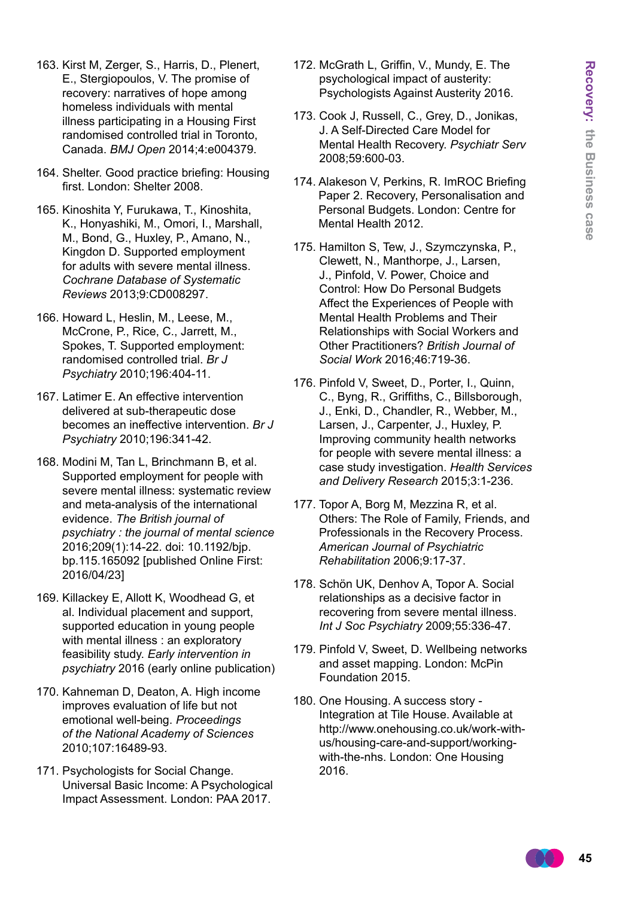- 163. Kirst M, Zerger, S., Harris, D., Plenert, E., Stergiopoulos, V. The promise of recovery: narratives of hope among homeless individuals with mental illness participating in a Housing First randomised controlled trial in Toronto, Canada. *BMJ Open* 2014;4:e004379.
- 164. Shelter. Good practice briefing: Housing first. London: Shelter 2008.
- 165. Kinoshita Y, Furukawa, T., Kinoshita, K., Honyashiki, M., Omori, I., Marshall, M., Bond, G., Huxley, P., Amano, N., Kingdon D. Supported employment for adults with severe mental illness. *Cochrane Database of Systematic Reviews* 2013;9:CD008297.
- 166. Howard L, Heslin, M., Leese, M., McCrone, P., Rice, C., Jarrett, M., Spokes, T. Supported employment: randomised controlled trial. *Br J Psychiatry* 2010;196:404-11.
- 167. Latimer E. An effective intervention delivered at sub-therapeutic dose becomes an ineffective intervention. *Br J Psychiatry* 2010;196:341-42.
- 168. Modini M, Tan L, Brinchmann B, et al. Supported employment for people with severe mental illness: systematic review and meta-analysis of the international evidence. *The British journal of psychiatry : the journal of mental science* 2016;209(1):14-22. doi: 10.1192/bjp. bp.115.165092 [published Online First: 2016/04/23]
- 169. Killackey E, Allott K, Woodhead G, et al. Individual placement and support, supported education in young people with mental illness : an exploratory feasibility study. *Early intervention in psychiatry* 2016 (early online publication)
- 170. Kahneman D, Deaton, A. High income improves evaluation of life but not emotional well-being. *Proceedings of the National Academy of Sciences* 2010;107:16489-93.
- 171. Psychologists for Social Change. Universal Basic Income: A Psychological Impact Assessment. London: PAA 2017.
- 172. McGrath L, Griffin, V., Mundy, E. The psychological impact of austerity: Psychologists Against Austerity 2016.
- 173. Cook J, Russell, C., Grey, D., Jonikas, J. A Self-Directed Care Model for Mental Health Recovery. *Psychiatr Serv* 2008;59:600-03.
- 174. Alakeson V, Perkins, R. ImROC Briefing Paper 2. Recovery, Personalisation and Personal Budgets. London: Centre for Mental Health 2012.
- 175. Hamilton S, Tew, J., Szymczynska, P., Clewett, N., Manthorpe, J., Larsen, J., Pinfold, V. Power, Choice and Control: How Do Personal Budgets Affect the Experiences of People with Mental Health Problems and Their Relationships with Social Workers and Other Practitioners? *British Journal of Social Work* 2016;46:719-36.
- 176. Pinfold V, Sweet, D., Porter, I., Quinn, C., Byng, R., Griffiths, C., Billsborough, J., Enki, D., Chandler, R., Webber, M., Larsen, J., Carpenter, J., Huxley, P. Improving community health networks for people with severe mental illness: a case study investigation. *Health Services and Delivery Research* 2015;3:1-236.
- 177. Topor A, Borg M, Mezzina R, et al. Others: The Role of Family, Friends, and Professionals in the Recovery Process. *American Journal of Psychiatric Rehabilitation* 2006;9:17-37.
- 178. Schön UK, Denhov A, Topor A. Social relationships as a decisive factor in recovering from severe mental illness. *Int J Soc Psychiatry* 2009;55:336-47.
- 179. Pinfold V, Sweet, D. Wellbeing networks and asset mapping. London: McPin Foundation 2015.
- 180. One Housing. A success story Integration at Tile House. Available at http://www.onehousing.co.uk/work-withus/housing-care-and-support/workingwith-the-nhs. London: One Housing 2016.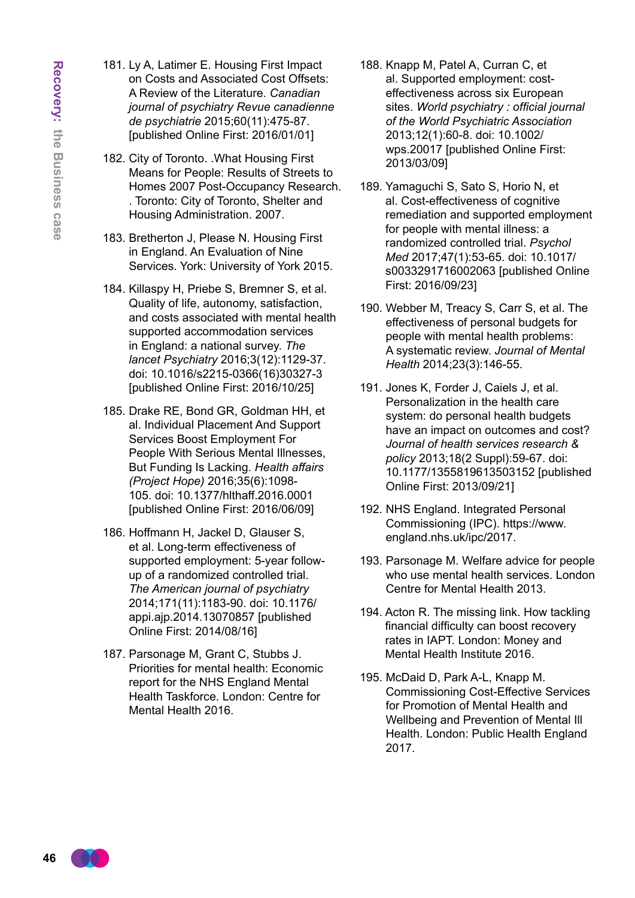- 181. Ly A, Latimer E. Housing First Impact on Costs and Associated Cost Offsets: A Review of the Literature. *Canadian journal of psychiatry Revue canadienne de psychiatrie* 2015;60(11):475-87. [published Online First: 2016/01/01]
- 182. City of Toronto. .What Housing First Means for People: Results of Streets to Homes 2007 Post-Occupancy Research. . Toronto: City of Toronto, Shelter and Housing Administration. 2007.
- 183. Bretherton J, Please N. Housing First in England. An Evaluation of Nine Services. York: University of York 2015.
- 184. Killaspy H, Priebe S, Bremner S, et al. Quality of life, autonomy, satisfaction, and costs associated with mental health supported accommodation services in England: a national survey. *The lancet Psychiatry* 2016;3(12):1129-37. doi: 10.1016/s2215-0366(16)30327-3 [published Online First: 2016/10/25]
- 185. Drake RE, Bond GR, Goldman HH, et al. Individual Placement And Support Services Boost Employment For People With Serious Mental Illnesses, But Funding Is Lacking. *Health affairs (Project Hope)* 2016;35(6):1098- 105. doi: 10.1377/hlthaff.2016.0001 [published Online First: 2016/06/09]
- 186. Hoffmann H, Jackel D, Glauser S, et al. Long-term effectiveness of supported employment: 5-year followup of a randomized controlled trial. *The American journal of psychiatry* 2014;171(11):1183-90. doi: 10.1176/ appi.ajp.2014.13070857 [published Online First: 2014/08/16]
- 187. Parsonage M, Grant C, Stubbs J. Priorities for mental health: Economic report for the NHS England Mental Health Taskforce. London: Centre for Mental Health 2016.
- 188. Knapp M, Patel A, Curran C, et al. Supported employment: costeffectiveness across six European sites. *World psychiatry : official journal of the World Psychiatric Association* 2013;12(1):60-8. doi: 10.1002/ wps.20017 [published Online First: 2013/03/09]
- 189. Yamaguchi S, Sato S, Horio N, et al. Cost-effectiveness of cognitive remediation and supported employment for people with mental illness: a randomized controlled trial. *Psychol Med* 2017;47(1):53-65. doi: 10.1017/ s0033291716002063 [published Online First: 2016/09/23]
- 190. Webber M, Treacy S, Carr S, et al. The effectiveness of personal budgets for people with mental health problems: A systematic review. *Journal of Mental Health* 2014;23(3):146-55.
- 191. Jones K, Forder J, Caiels J, et al. Personalization in the health care system: do personal health budgets have an impact on outcomes and cost? *Journal of health services research & policy* 2013;18(2 Suppl):59-67. doi: 10.1177/1355819613503152 [published Online First: 2013/09/21]
- 192. NHS England. Integrated Personal Commissioning (IPC). https://www. england.nhs.uk/ipc/2017.
- 193. Parsonage M. Welfare advice for people who use mental health services. London Centre for Mental Health 2013.
- 194. Acton R. The missing link. How tackling financial difficulty can boost recovery rates in IAPT. London: Money and Mental Health Institute 2016.
- 195. McDaid D, Park A-L, Knapp M. Commissioning Cost-Effective Services for Promotion of Mental Health and Wellbeing and Prevention of Mental Ill Health. London: Public Health England 2017.